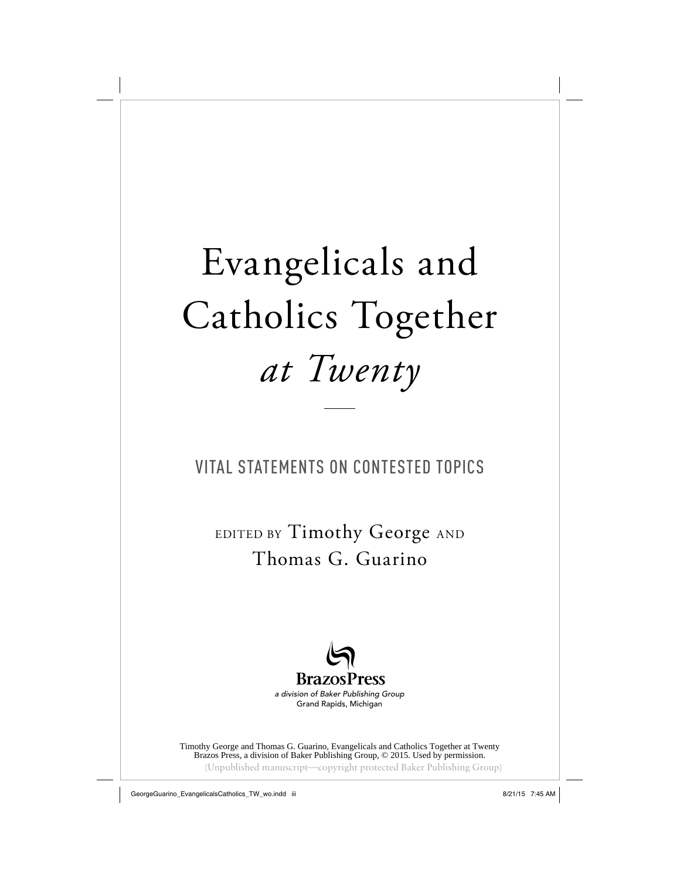# Evangelicals and Catholics Together *at Twenty*

VITAL STATEMENTS ON CONTESTED TOPICS

EDITED BY Timothy George AND Thomas G. Guarino



Timothy George and Thomas G. Guarino, Evangelicals and Catholics Together at Twenty Brazos Press, a division of Baker Publishing Group, © 2015. Used by permission.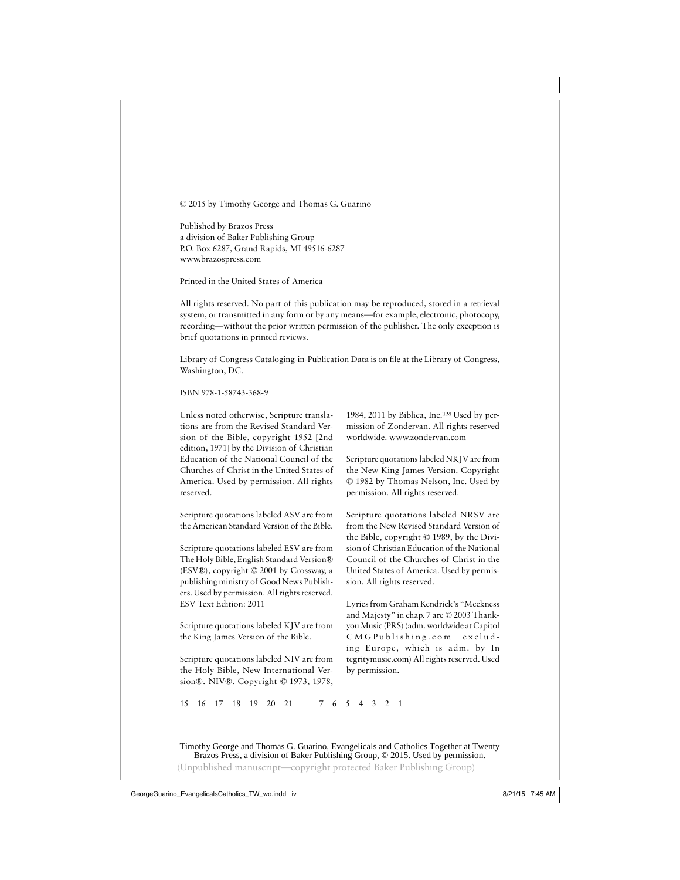© 2015 by Timothy George and Thomas G. Guarino

Published by Brazos Press a division of Baker Publishing Group P.O. Box 6287, Grand Rapids, MI 49516-6287 www.brazospress.com

Printed in the United States of America

All rights reserved. No part of this publication may be reproduced, stored in a retrieval system, or transmitted in any form or by any means—for example, electronic, photocopy, recording—without the prior written permission of the publisher. The only exception is brief quotations in printed reviews.

Library of Congress Cataloging-in-Publication Data is on file at the Library of Congress, Washington, DC.

ISBN 978-1-58743-368-9

Unless noted otherwise, Scripture translations are from the Revised Standard Version of the Bible, copyright 1952 [2nd edition, 1971] by the Division of Christian Education of the National Council of the Churches of Christ in the United States of America. Used by permission. All rights reserved.

Scripture quotations labeled ASV are from the American Standard Version of the Bible.

Scripture quotations labeled ESV are from The Holy Bible, English Standard Version® (ESV®), copyright © 2001 by Crossway, a publishing ministry of Good News Publishers. Used by permission. All rights reserved. ESV Text Edition: 2011

Scripture quotations labeled KJV are from the King James Version of the Bible.

Scripture quotations labeled NIV are from the Holy Bible, New International Version®. NIV®. Copyright © 1973, 1978, 1984, 2011 by Biblica, Inc.™ Used by permission of Zondervan. All rights reserved worldwide. www.zondervan.com

Scripture quotations labeled NKJV are from the New King James Version. Copyright © 1982 by Thomas Nelson, Inc. Used by permission. All rights reserved.

Scripture quotations labeled NRSV are from the New Revised Standard Version of the Bible, copyright © 1989, by the Division of Christian Education of the National Council of the Churches of Christ in the United States of America. Used by permission. All rights reserved.

Lyrics from Graham Kendrick's "Meekness and Majesty" in chap. 7 are © 2003 Thankyou Music (PRS) (adm. worldwide at Capitol  $CMGPublishing.com$  excluding Europe, which is adm. by In tegritymusic.com) All rights reserved. Used by permission.

15 16 17 18 19 20 21 7 6 5 4 3 2 1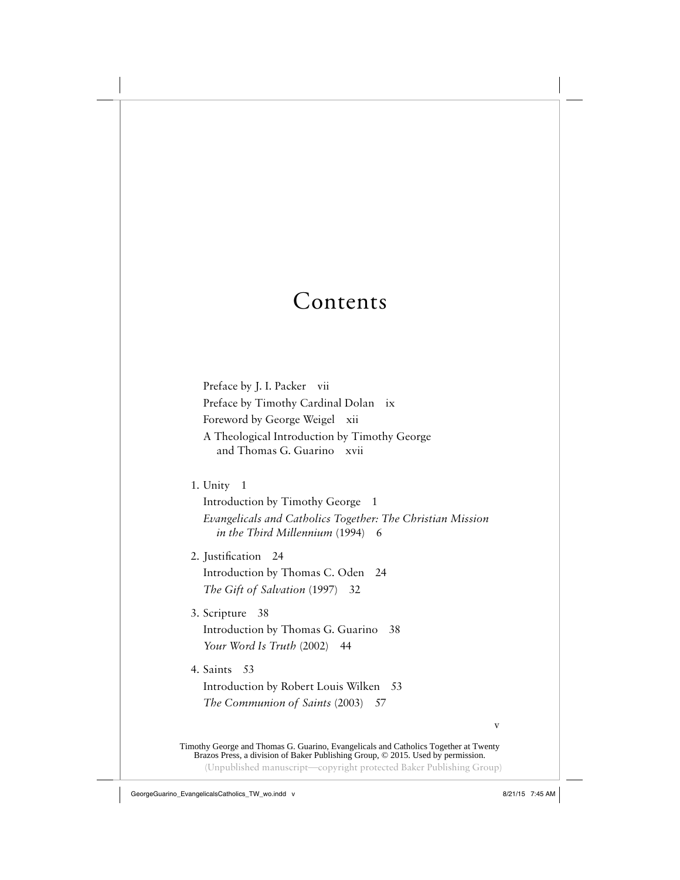### Contents

Preface by J. I. Packer vii Preface by Timothy Cardinal Dolan ix Foreword by George Weigel xii A Theological Introduction by Timothy George and Thomas G. Guarino xvii

1. Unity 1

Introduction by Timothy George 1 *Evangelicals and Catholics Together: The Christian Mission in the Third Millennium* (1994) 6

- 2. Justification 24 Introduction by Thomas C. Oden 24 *The Gift of Salvation* (1997) 32
- 3. Scripture 38 Introduction by Thomas G. Guarino 38 *Your Word Is Truth* (2002) 44
- 4. Saints 53 Introduction by Robert Louis Wilken 53 *The Communion of Saints* (2003) 57

(Unpublished manuscript—copyright protected Baker Publishing Group) Timothy George and Thomas G. Guarino, Evangelicals and Catholics Together at Twenty Brazos Press, a division of Baker Publishing Group, © 2015. Used by permission.

v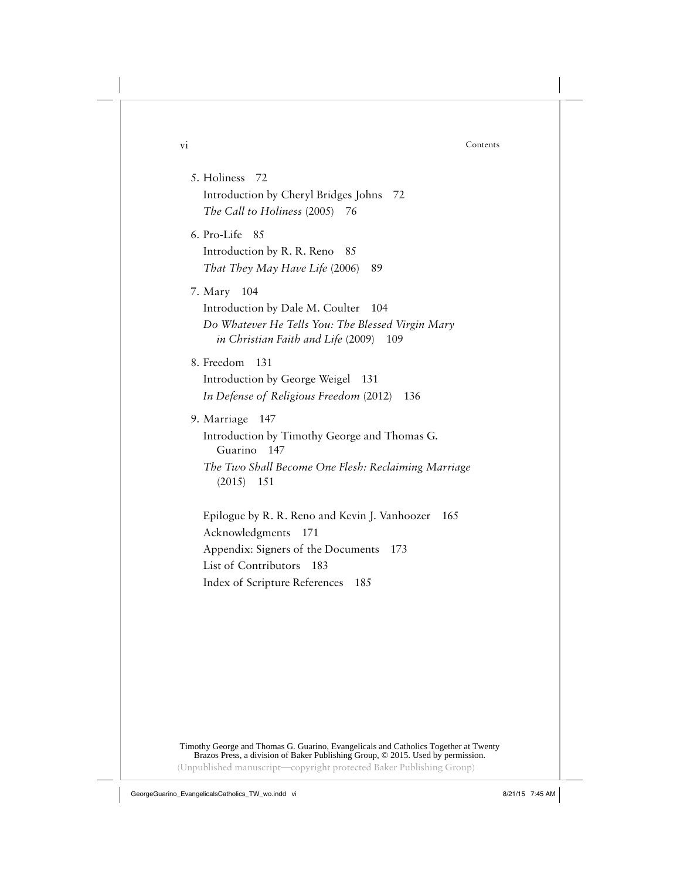5. Holiness 72 Introduction by Cheryl Bridges Johns 72 *The Call to Holiness* (2005) 76

 6. Pro-Life 85 Introduction by R. R. Reno 85 *That They May Have Life* (2006) 89

 7. Mary 104 Introduction by Dale M. Coulter 104 *Do Whatever He Tells You: The Blessed Virgin Mary in Christian Faith and Life* (2009) 109

 8. Freedom 131 Introduction by George Weigel 131 *In Defense of Religious Freedom* (2012) 136

 9. Marriage 147 Introduction by Timothy George and Thomas G. Guarino 147 *The Two Shall Become One Flesh: Reclaiming Marriage* (2015) 151

Epilogue by R. R. Reno and Kevin J. Vanhoozer 165 Acknowledgments 171 Appendix: Signers of the Documents 173 List of Contributors 183 Index of Scripture References 185

Timothy George and Thomas G. Guarino, Evangelicals and Catholics Together at Twenty Brazos Press, a division of Baker Publishing Group, © 2015. Used by permission.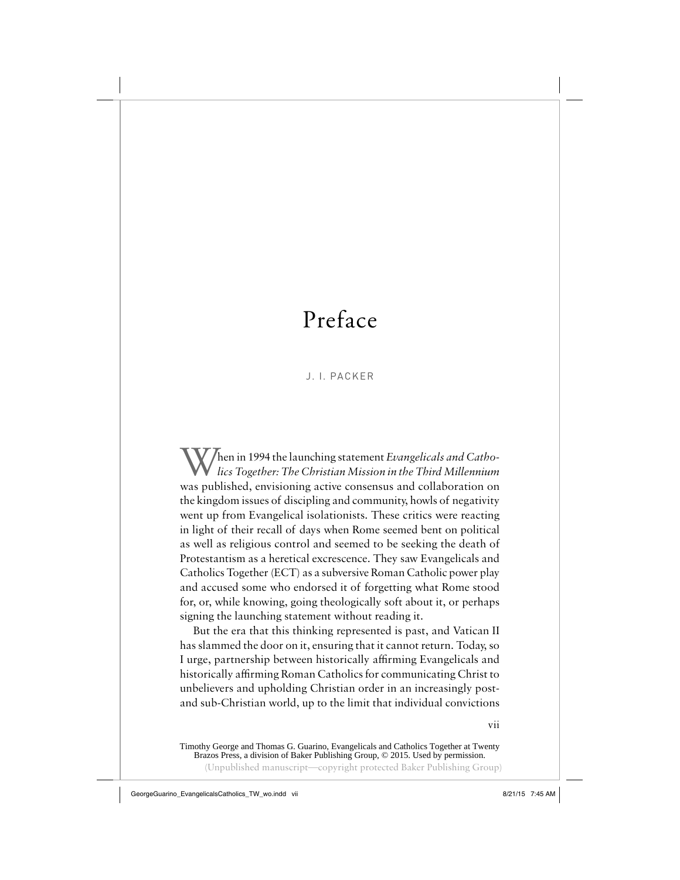### Preface

#### J. I. PACK ER

When in 1994 the launching statement *Evangelicals and Catholics Together: The Christian Mission in the Third Millennium* was published, envisioning active consensus and collaboration on the kingdom issues of discipling and community, howls of negativity went up from Evangelical isolationists. These critics were reacting in light of their recall of days when Rome seemed bent on political as well as religious control and seemed to be seeking the death of Protestantism as a heretical excrescence. They saw Evangelicals and Catholics Together (ECT) as a subversive Roman Catholic power play and accused some who endorsed it of forgetting what Rome stood for, or, while knowing, going theologically soft about it, or perhaps signing the launching statement without reading it.

But the era that this thinking represented is past, and Vatican II has slammed the door on it, ensuring that it cannot return. Today, so I urge, partnership between historically affirming Evangelicals and historically affirming Roman Catholics for communicating Christ to unbelievers and upholding Christian order in an increasingly postand sub-Christian world, up to the limit that individual convictions

vii

Timothy George and Thomas G. Guarino, Evangelicals and Catholics Together at Twenty Brazos Press, a division of Baker Publishing Group, © 2015. Used by permission.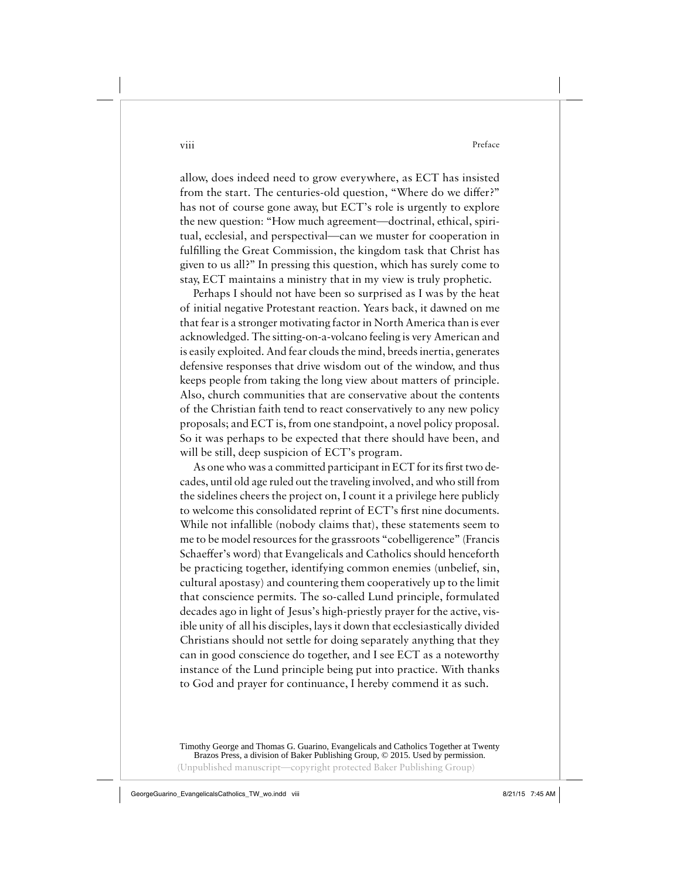allow, does indeed need to grow everywhere, as ECT has insisted from the start. The centuries-old question, "Where do we differ?" has not of course gone away, but ECT's role is urgently to explore the new question: "How much agreement—doctrinal, ethical, spiritual, ecclesial, and perspectival—can we muster for cooperation in fulfilling the Great Commission, the kingdom task that Christ has given to us all?" In pressing this question, which has surely come to stay, ECT maintains a ministry that in my view is truly prophetic.

Perhaps I should not have been so surprised as I was by the heat of initial negative Protestant reaction. Years back, it dawned on me that fear is a stronger motivating factor in North America than is ever acknowledged. The sitting-on-a-volcano feeling is very American and is easily exploited. And fear clouds the mind, breeds inertia, generates defensive responses that drive wisdom out of the window, and thus keeps people from taking the long view about matters of principle. Also, church communities that are conservative about the contents of the Christian faith tend to react conservatively to any new policy proposals; and ECT is, from one standpoint, a novel policy proposal. So it was perhaps to be expected that there should have been, and will be still, deep suspicion of ECT's program.

As one who was a committed participant in ECT for its first two decades, until old age ruled out the traveling involved, and who still from the sidelines cheers the project on, I count it a privilege here publicly to welcome this consolidated reprint of ECT's first nine documents. While not infallible (nobody claims that), these statements seem to me to be model resources for the grassroots "cobelligerence" (Francis Schaeffer's word) that Evangelicals and Catholics should henceforth be practicing together, identifying common enemies (unbelief, sin, cultural apostasy) and countering them cooperatively up to the limit that conscience permits. The so-called Lund principle, formulated decades ago in light of Jesus's high-priestly prayer for the active, visible unity of all his disciples, lays it down that ecclesiastically divided Christians should not settle for doing separately anything that they can in good conscience do together, and I see ECT as a noteworthy instance of the Lund principle being put into practice. With thanks to God and prayer for continuance, I hereby commend it as such.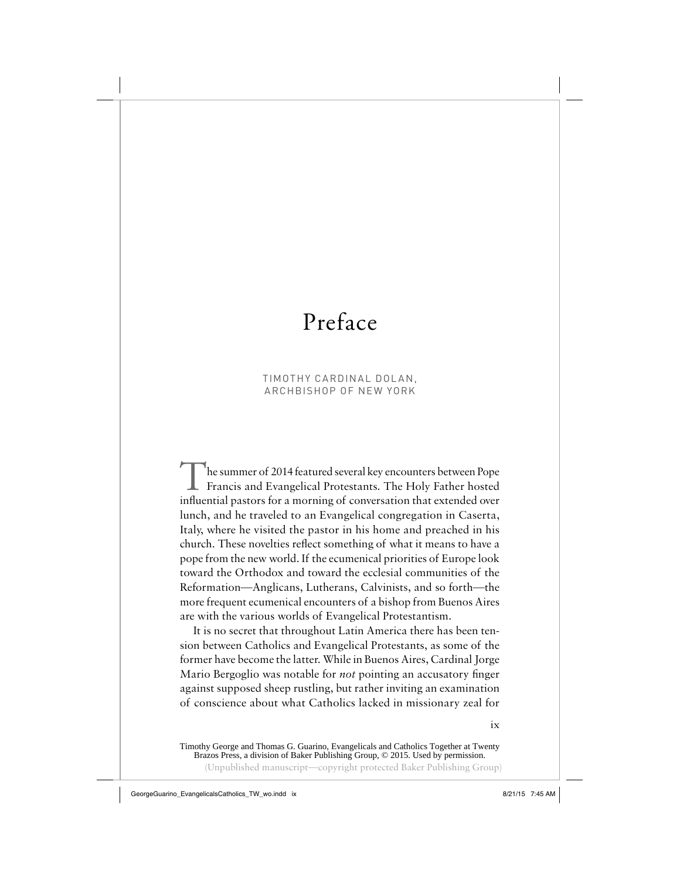### Preface

TIMOTHY CARDINAL DOLAN, ARCHBISHOP OF NEW YORK

The summer of 2014 featured several key encounters between Pope<br>Francis and Evangelical Protestants. The Holy Father hosted<br>influential pasters for a morning of conversation that extended over Francis and Evangelical Protestants. The Holy Father hosted influential pastors for a morning of conversation that extended over lunch, and he traveled to an Evangelical congregation in Caserta, Italy, where he visited the pastor in his home and preached in his church. These novelties reflect something of what it means to have a pope from the new world. If the ecumenical priorities of Europe look toward the Orthodox and toward the ecclesial communities of the Reformation—Anglicans, Lutherans, Calvinists, and so forth—the more frequent ecumenical encounters of a bishop from Buenos Aires are with the various worlds of Evangelical Protestantism.

It is no secret that throughout Latin America there has been tension between Catholics and Evangelical Protestants, as some of the former have become the latter. While in Buenos Aires, Cardinal Jorge Mario Bergoglio was notable for *not* pointing an accusatory finger against supposed sheep rustling, but rather inviting an examination of conscience about what Catholics lacked in missionary zeal for

(Unpublished manuscript—copyright protected Baker Publishing Group) Timothy George and Thomas G. Guarino, Evangelicals and Catholics Together at Twenty Brazos Press, a division of Baker Publishing Group, © 2015. Used by permission.

ix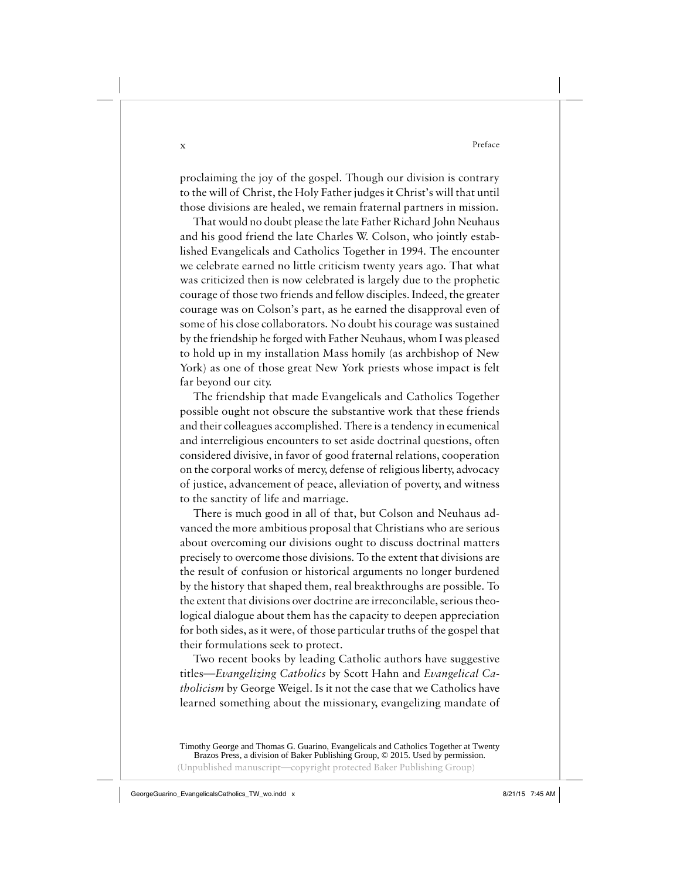proclaiming the joy of the gospel. Though our division is contrary to the will of Christ, the Holy Father judges it Christ's will that until those divisions are healed, we remain fraternal partners in mission.

That would no doubt please the late Father Richard John Neuhaus and his good friend the late Charles W. Colson, who jointly established Evangelicals and Catholics Together in 1994. The encounter we celebrate earned no little criticism twenty years ago. That what was criticized then is now celebrated is largely due to the prophetic courage of those two friends and fellow disciples. Indeed, the greater courage was on Colson's part, as he earned the disapproval even of some of his close collaborators. No doubt his courage was sustained by the friendship he forged with Father Neuhaus, whom I was pleased to hold up in my installation Mass homily (as archbishop of New York) as one of those great New York priests whose impact is felt far beyond our city.

The friendship that made Evangelicals and Catholics Together possible ought not obscure the substantive work that these friends and their colleagues accomplished. There is a tendency in ecumenical and interreligious encounters to set aside doctrinal questions, often considered divisive, in favor of good fraternal relations, cooperation on the corporal works of mercy, defense of religious liberty, advocacy of justice, advancement of peace, alleviation of poverty, and witness to the sanctity of life and marriage.

There is much good in all of that, but Colson and Neuhaus advanced the more ambitious proposal that Christians who are serious about overcoming our divisions ought to discuss doctrinal matters precisely to overcome those divisions. To the extent that divisions are the result of confusion or historical arguments no longer burdened by the history that shaped them, real breakthroughs are possible. To the extent that divisions over doctrine are irreconcilable, serious theological dialogue about them has the capacity to deepen appreciation for both sides, as it were, of those particular truths of the gospel that their formulations seek to protect.

Two recent books by leading Catholic authors have suggestive titles—*Evangelizing Catholics* by Scott Hahn and *Evangelical Catholicism* by George Weigel. Is it not the case that we Catholics have learned something about the missionary, evangelizing mandate of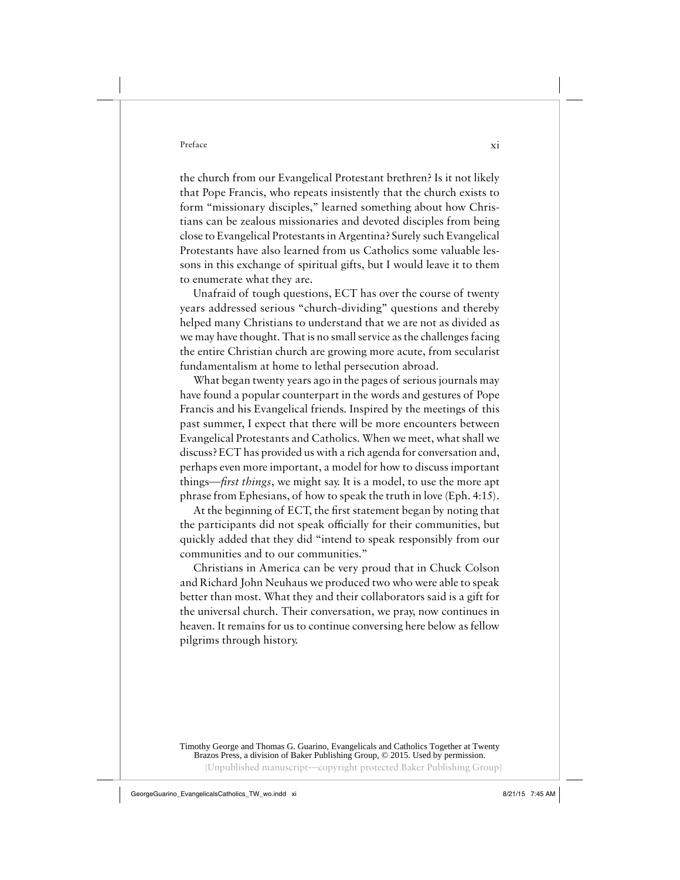the church from our Evangelical Protestant brethren? Is it not likely that Pope Francis, who repeats insistently that the church exists to form "missionary disciples," learned something about how Christians can be zealous missionaries and devoted disciples from being close to Evangelical Protestants in Argentina? Surely such Evangelical Protestants have also learned from us Catholics some valuable lessons in this exchange of spiritual gifts, but I would leave it to them to enumerate what they are.

Unafraid of tough questions, ECT has over the course of twenty years addressed serious "church-dividing" questions and thereby helped many Christians to understand that we are not as divided as we may have thought. That is no small service as the challenges facing the entire Christian church are growing more acute, from secularist fundamentalism at home to lethal persecution abroad.

What began twenty years ago in the pages of serious journals may have found a popular counterpart in the words and gestures of Pope Francis and his Evangelical friends. Inspired by the meetings of this past summer, I expect that there will be more encounters between Evangelical Protestants and Catholics. When we meet, what shall we discuss? ECT has provided us with a rich agenda for conversation and, perhaps even more important, a model for how to discuss important things—*first things*, we might say. It is a model, to use the more apt phrase from Ephesians, of how to speak the truth in love (Eph. 4:15).

At the beginning of ECT, the first statement began by noting that the participants did not speak officially for their communities, but quickly added that they did "intend to speak responsibly from our communities and to our communities."

Christians in America can be very proud that in Chuck Colson and Richard John Neuhaus we produced two who were able to speak better than most. What they and their collaborators said is a gift for the universal church. Their conversation, we pray, now continues in heaven. It remains for us to continue conversing here below as fellow pilgrims through history.

Timothy George and Thomas G. Guarino, Evangelicals and Catholics Together at Twenty Brazos Press, a division of Baker Publishing Group, © 2015. Used by permission.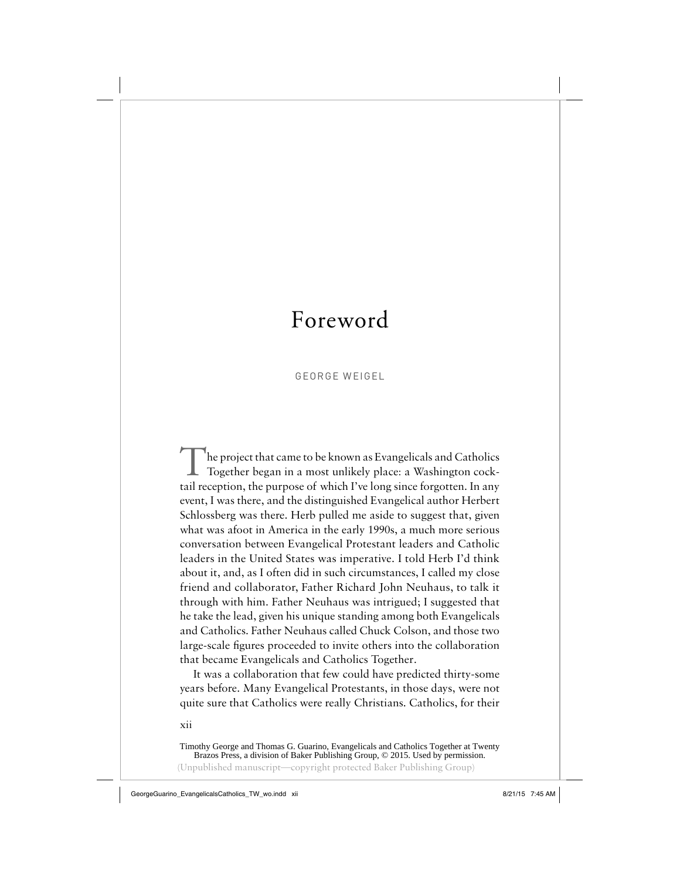### Foreword

#### GEORGE W EIGEL

The project that came to be known as Evangelicals and Catholics<br>Together began in a most unlikely place: a Washington cock-<br>tail recention, the purpose of which I've long since forgotten. In any Together began in a most unlikely place: a Washington cocktail reception, the purpose of which I've long since forgotten. In any event, I was there, and the distinguished Evangelical author Herbert Schlossberg was there. Herb pulled me aside to suggest that, given what was afoot in America in the early 1990s, a much more serious conversation between Evangelical Protestant leaders and Catholic leaders in the United States was imperative. I told Herb I'd think about it, and, as I often did in such circumstances, I called my close friend and collaborator, Father Richard John Neuhaus, to talk it through with him. Father Neuhaus was intrigued; I suggested that he take the lead, given his unique standing among both Evangelicals and Catholics. Father Neuhaus called Chuck Colson, and those two large-scale figures proceeded to invite others into the collaboration that became Evangelicals and Catholics Together*.*

It was a collaboration that few could have predicted thirty-some years before. Many Evangelical Protestants, in those days, were not quite sure that Catholics were really Christians. Catholics, for their

xii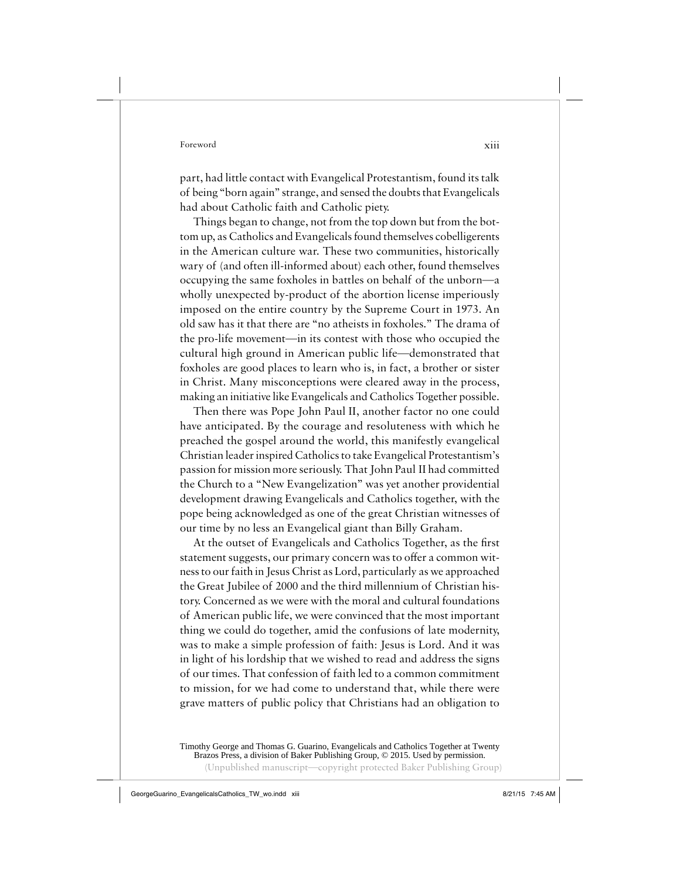part, had little contact with Evangelical Protestantism, found its talk of being "born again" strange, and sensed the doubts that Evangelicals had about Catholic faith and Catholic piety.

Things began to change, not from the top down but from the bottom up, as Catholics and Evangelicals found themselves cobelligerents in the American culture war. These two communities, historically wary of (and often ill-informed about) each other, found themselves occupying the same foxholes in battles on behalf of the unborn—a wholly unexpected by-product of the abortion license imperiously imposed on the entire country by the Supreme Court in 1973. An old saw has it that there are "no atheists in foxholes." The drama of the pro-life movement—in its contest with those who occupied the cultural high ground in American public life—demonstrated that foxholes are good places to learn who is, in fact, a brother or sister in Christ. Many misconceptions were cleared away in the process, making an initiative like Evangelicals and Catholics Together possible.

Then there was Pope John Paul II, another factor no one could have anticipated. By the courage and resoluteness with which he preached the gospel around the world, this manifestly evangelical Christian leader inspired Catholics to take Evangelical Protestantism's passion for mission more seriously. That John Paul II had committed the Church to a "New Evangelization" was yet another providential development drawing Evangelicals and Catholics together, with the pope being acknowledged as one of the great Christian witnesses of our time by no less an Evangelical giant than Billy Graham.

At the outset of Evangelicals and Catholics Together, as the first statement suggests, our primary concern was to offer a common witness to our faith in Jesus Christ as Lord, particularly as we approached the Great Jubilee of 2000 and the third millennium of Christian history. Concerned as we were with the moral and cultural foundations of American public life, we were convinced that the most important thing we could do together, amid the confusions of late modernity, was to make a simple profession of faith: Jesus is Lord. And it was in light of his lordship that we wished to read and address the signs of our times. That confession of faith led to a common commitment to mission, for we had come to understand that, while there were grave matters of public policy that Christians had an obligation to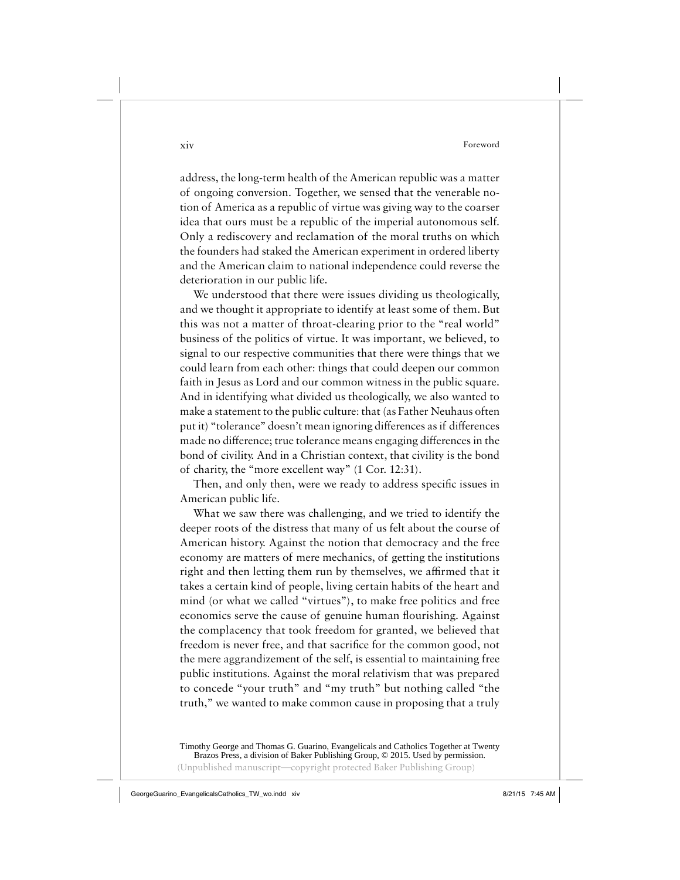address, the long-term health of the American republic was a matter of ongoing conversion. Together, we sensed that the venerable notion of America as a republic of virtue was giving way to the coarser idea that ours must be a republic of the imperial autonomous self. Only a rediscovery and reclamation of the moral truths on which the founders had staked the American experiment in ordered liberty and the American claim to national independence could reverse the deterioration in our public life.

We understood that there were issues dividing us theologically, and we thought it appropriate to identify at least some of them. But this was not a matter of throat-clearing prior to the "real world" business of the politics of virtue. It was important, we believed, to signal to our respective communities that there were things that we could learn from each other: things that could deepen our common faith in Jesus as Lord and our common witness in the public square. And in identifying what divided us theologically, we also wanted to make a statement to the public culture: that (as Father Neuhaus often put it) "tolerance" doesn't mean ignoring differences as if differences made no difference; true tolerance means engaging differences in the bond of civility. And in a Christian context, that civility is the bond of charity, the "more excellent way" (1 Cor. 12:31).

Then, and only then, were we ready to address specific issues in American public life.

What we saw there was challenging, and we tried to identify the deeper roots of the distress that many of us felt about the course of American history. Against the notion that democracy and the free economy are matters of mere mechanics, of getting the institutions right and then letting them run by themselves, we affirmed that it takes a certain kind of people, living certain habits of the heart and mind (or what we called "virtues"), to make free politics and free economics serve the cause of genuine human flourishing. Against the complacency that took freedom for granted, we believed that freedom is never free, and that sacrifice for the common good, not the mere aggrandizement of the self, is essential to maintaining free public institutions. Against the moral relativism that was prepared to concede "your truth" and "my truth" but nothing called "the truth," we wanted to make common cause in proposing that a truly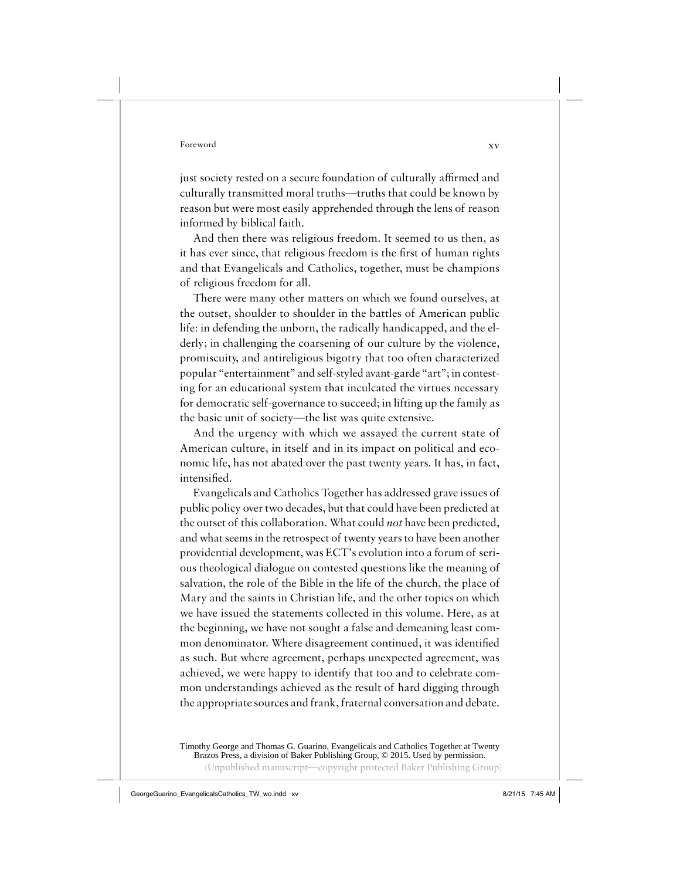just society rested on a secure foundation of culturally affirmed and culturally transmitted moral truths—truths that could be known by reason but were most easily apprehended through the lens of reason informed by biblical faith.

And then there was religious freedom. It seemed to us then, as it has ever since, that religious freedom is the first of human rights and that Evangelicals and Catholics, together, must be champions of religious freedom for all.

There were many other matters on which we found ourselves, at the outset, shoulder to shoulder in the battles of American public life: in defending the unborn, the radically handicapped, and the elderly; in challenging the coarsening of our culture by the violence, promiscuity, and antireligious bigotry that too often characterized popular "entertainment" and self-styled avant-garde "art"; in contesting for an educational system that inculcated the virtues necessary for democratic self-governance to succeed; in lifting up the family as the basic unit of society—the list was quite extensive.

And the urgency with which we assayed the current state of American culture, in itself and in its impact on political and economic life, has not abated over the past twenty years. It has, in fact, intensified.

Evangelicals and Catholics Together has addressed grave issues of public policy over two decades, but that could have been predicted at the outset of this collaboration. What could *not* have been predicted, and what seems in the retrospect of twenty years to have been another providential development, was ECT's evolution into a forum of serious theological dialogue on contested questions like the meaning of salvation, the role of the Bible in the life of the church, the place of Mary and the saints in Christian life, and the other topics on which we have issued the statements collected in this volume. Here, as at the beginning, we have not sought a false and demeaning least common denominator. Where disagreement continued, it was identified as such. But where agreement, perhaps unexpected agreement, was achieved, we were happy to identify that too and to celebrate common understandings achieved as the result of hard digging through the appropriate sources and frank, fraternal conversation and debate.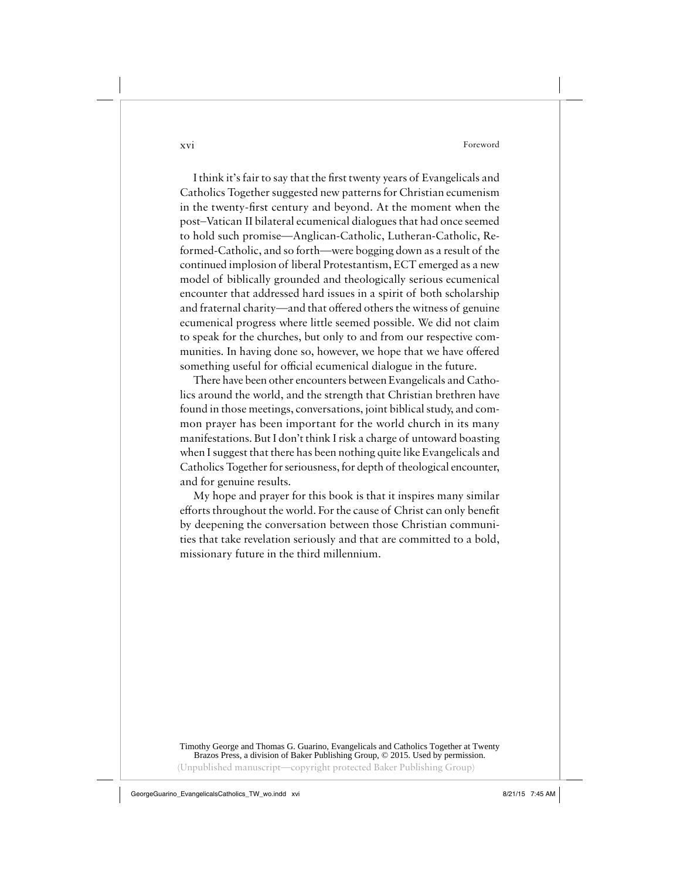I think it's fair to say that the first twenty years of Evangelicals and Catholics Together suggested new patterns for Christian ecumenism in the twenty-first century and beyond. At the moment when the post–Vatican II bilateral ecumenical dialogues that had once seemed to hold such promise—Anglican-Catholic, Lutheran-Catholic, Reformed-Catholic, and so forth—were bogging down as a result of the continued implosion of liberal Protestantism, ECT emerged as a new model of biblically grounded and theologically serious ecumenical encounter that addressed hard issues in a spirit of both scholarship and fraternal charity—and that offered others the witness of genuine ecumenical progress where little seemed possible. We did not claim to speak for the churches, but only to and from our respective communities. In having done so, however, we hope that we have offered something useful for official ecumenical dialogue in the future.

There have been other encounters between Evangelicals and Catholics around the world, and the strength that Christian brethren have found in those meetings, conversations, joint biblical study, and common prayer has been important for the world church in its many manifestations. But I don't think I risk a charge of untoward boasting when I suggest that there has been nothing quite like Evangelicals and Catholics Together for seriousness, for depth of theological encounter, and for genuine results.

My hope and prayer for this book is that it inspires many similar efforts throughout the world. For the cause of Christ can only benefit by deepening the conversation between those Christian communities that take revelation seriously and that are committed to a bold, missionary future in the third millennium.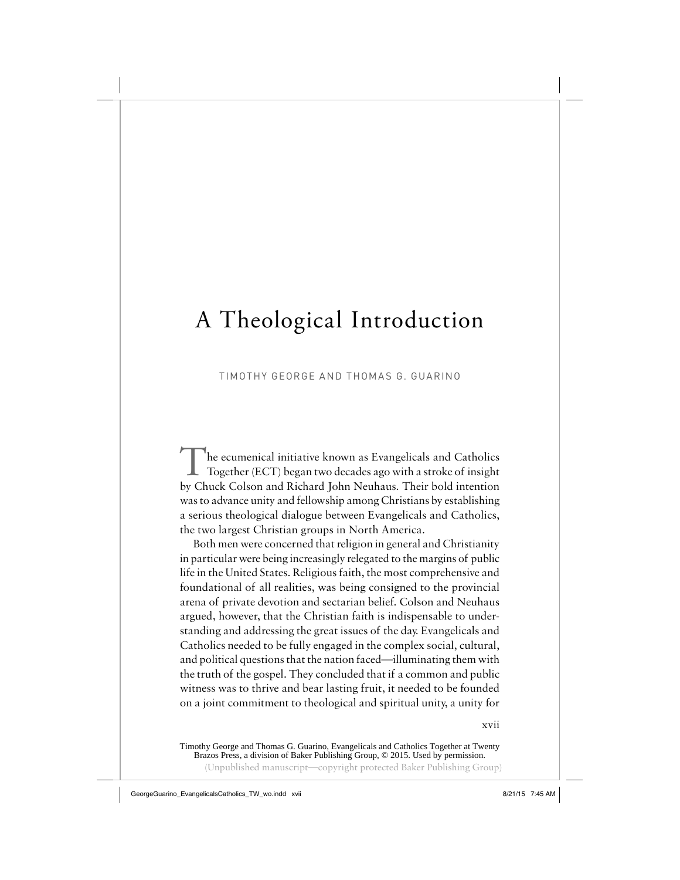### A Theological Introduction

#### TIMOTHY GEORGE AND THOMAS G GUARINO

The ecumenical initiative known as Evangelicals and Catholics<br>Together (ECT) began two decades ago with a stroke of insight<br>by Chuck Colson and Bisbard John Neubous, Their hold intention Together (ECT) began two decades ago with a stroke of insight by Chuck Colson and Richard John Neuhaus. Their bold intention was to advance unity and fellowship among Christians by establishing a serious theological dialogue between Evangelicals and Catholics, the two largest Christian groups in North America.

Both men were concerned that religion in general and Christianity in particular were being increasingly relegated to the margins of public life in the United States. Religious faith, the most comprehensive and foundational of all realities, was being consigned to the provincial arena of private devotion and sectarian belief. Colson and Neuhaus argued, however, that the Christian faith is indispensable to understanding and addressing the great issues of the day. Evangelicals and Catholics needed to be fully engaged in the complex social, cultural, and political questions that the nation faced—illuminating them with the truth of the gospel. They concluded that if a common and public witness was to thrive and bear lasting fruit, it needed to be founded on a joint commitment to theological and spiritual unity, a unity for

xvii

Timothy George and Thomas G. Guarino, Evangelicals and Catholics Together at Twenty Brazos Press, a division of Baker Publishing Group, © 2015. Used by permission.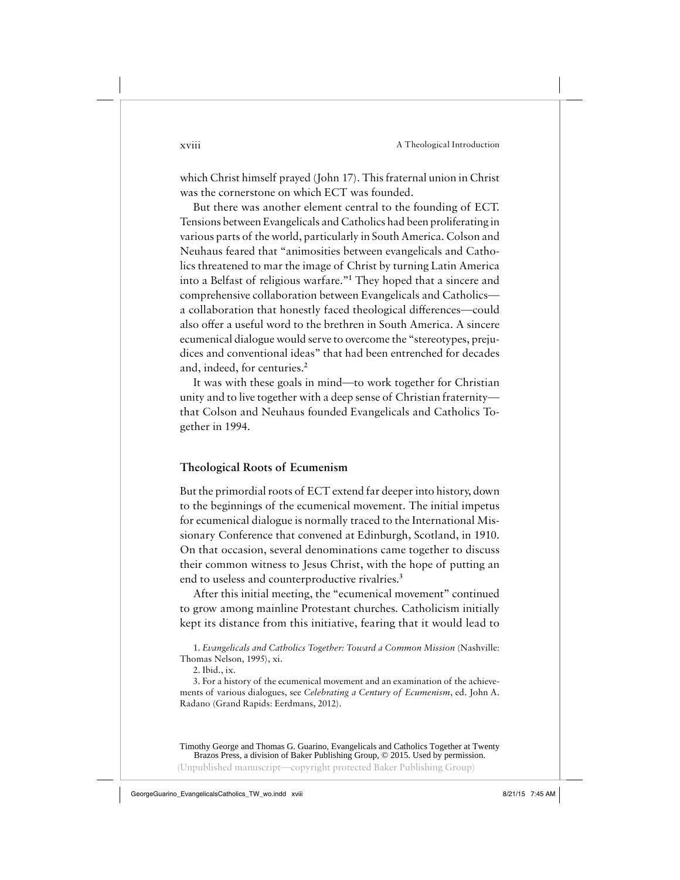which Christ himself prayed (John 17). This fraternal union in Christ was the cornerstone on which ECT was founded.

But there was another element central to the founding of ECT. Tensions between Evangelicals and Catholics had been proliferating in various parts of the world, particularly in South America. Colson and Neuhaus feared that "animosities between evangelicals and Catholics threatened to mar the image of Christ by turning Latin America into a Belfast of religious warfare."**<sup>1</sup>** They hoped that a sincere and comprehensive collaboration between Evangelicals and Catholics a collaboration that honestly faced theological differences—could also offer a useful word to the brethren in South America. A sincere ecumenical dialogue would serve to overcome the "stereotypes, prejudices and conventional ideas" that had been entrenched for decades and, indeed, for centuries.**<sup>2</sup>**

It was with these goals in mind—to work together for Christian unity and to live together with a deep sense of Christian fraternity that Colson and Neuhaus founded Evangelicals and Catholics Together in 1994.

#### **Theological Roots of Ecumenism**

But the primordial roots of ECT extend far deeper into history, down to the beginnings of the ecumenical movement. The initial impetus for ecumenical dialogue is normally traced to the International Missionary Conference that convened at Edinburgh, Scotland, in 1910. On that occasion, several denominations came together to discuss their common witness to Jesus Christ, with the hope of putting an end to useless and counterproductive rivalries.**<sup>3</sup>**

After this initial meeting, the "ecumenical movement" continued to grow among mainline Protestant churches. Catholicism initially kept its distance from this initiative, fearing that it would lead to

2. Ibid*.*, ix.

3. For a history of the ecumenical movement and an examination of the achievements of various dialogues, see *Celebrating a Century of Ecumenism*, ed. John A. Radano (Grand Rapids: Eerdmans, 2012).

Timothy George and Thomas G. Guarino, Evangelicals and Catholics Together at Twenty Brazos Press, a division of Baker Publishing Group, © 2015. Used by permission.

<sup>1.</sup> *Evangelicals and Catholics Together: Toward a Common Mission* (Nashville: Thomas Nelson, 1995), xi.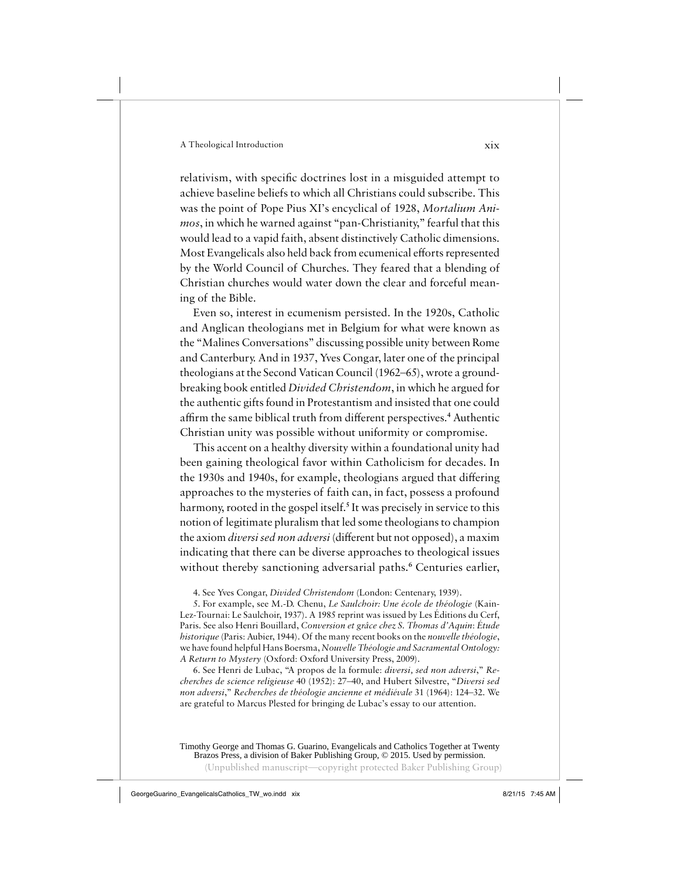relativism, with specific doctrines lost in a misguided attempt to achieve baseline beliefs to which all Christians could subscribe. This was the point of Pope Pius XI's encyclical of 1928, *Mortalium Animos*, in which he warned against "pan-Christianity," fearful that this would lead to a vapid faith, absent distinctively Catholic dimensions. Most Evangelicals also held back from ecumenical efforts represented by the World Council of Churches. They feared that a blending of Christian churches would water down the clear and forceful meaning of the Bible.

Even so, interest in ecumenism persisted. In the 1920s, Catholic and Anglican theologians met in Belgium for what were known as the "Malines Conversations" discussing possible unity between Rome and Canterbury. And in 1937, Yves Congar, later one of the principal theologians at the Second Vatican Council (1962–65), wrote a groundbreaking book entitled *Divided Christendom*, in which he argued for the authentic gifts found in Protestantism and insisted that one could affirm the same biblical truth from different perspectives.<sup>4</sup> Authentic Christian unity was possible without uniformity or compromise.

This accent on a healthy diversity within a foundational unity had been gaining theological favor within Catholicism for decades. In the 1930s and 1940s, for example, theologians argued that differing approaches to the mysteries of faith can, in fact, possess a profound harmony, rooted in the gospel itself.**<sup>5</sup>** It was precisely in service to this notion of legitimate pluralism that led some theologians to champion the axiom *diversi sed non adversi* (different but not opposed), a maxim indicating that there can be diverse approaches to theological issues without thereby sanctioning adversarial paths.<sup>6</sup> Centuries earlier,

4. See Yves Congar, *Divided Christendom* (London: Centenary, 1939).

5. For example, see M.-D. Chenu, *Le Saulchoir: Une école de théologie* (Kain-Lez-Tournai: Le Saulchoir, 1937). A 1985 reprint was issued by Les Éditions du Cerf, Paris. See also Henri Bouillard, *Conversion et grâce chez S. Thomas d'Aquin*: *Étude historique* (Paris: Aubier, 1944). Of the many recent books on the *nouvelle théologie*, we have found helpful Hans Boersma, *Nouvelle Théologie and Sacramental Ontology: A Return to Mystery* (Oxford: Oxford University Press, 2009).

6. See Henri de Lubac, "A propos de la formule: *diversi, sed non adversi*," *Recherches de science religieuse* 40 (1952): 27–40, and Hubert Silvestre, "*Diversi sed non adversi*," *Recherches de théologie ancienne et médiévale* 31 (1964): 124–32. We are grateful to Marcus Plested for bringing de Lubac's essay to our attention.

Timothy George and Thomas G. Guarino, Evangelicals and Catholics Together at Twenty Brazos Press, a division of Baker Publishing Group, © 2015. Used by permission.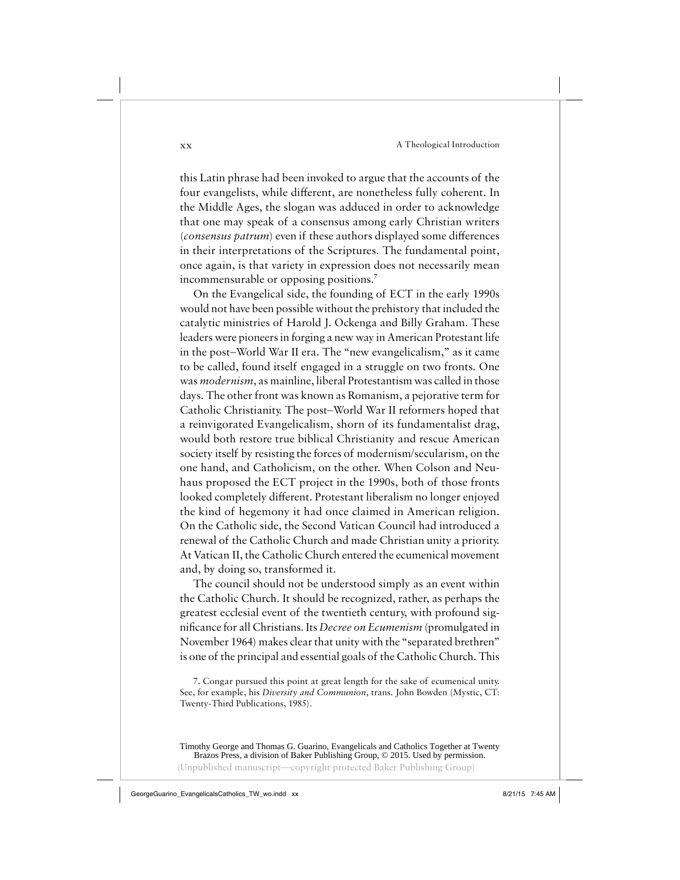this Latin phrase had been invoked to argue that the accounts of the four evangelists, while different, are nonetheless fully coherent. In the Middle Ages, the slogan was adduced in order to acknowledge that one may speak of a consensus among early Christian writers (*consensus patrum*) even if these authors displayed some differences in their interpretations of the Scriptures. The fundamental point, once again, is that variety in expression does not necessarily mean incommensurable or opposing positions.**<sup>7</sup>**

On the Evangelical side, the founding of ECT in the early 1990s would not have been possible without the prehistory that included the catalytic ministries of Harold J. Ockenga and Billy Graham. These leaders were pioneers in forging a new way in American Protestant life in the post–World War II era. The "new evangelicalism," as it came to be called, found itself engaged in a struggle on two fronts. One was *modernism*, as mainline, liberal Protestantism was called in those days. The other front was known as Romanism, a pejorative term for Catholic Christianity. The post–World War II reformers hoped that a reinvigorated Evangelicalism, shorn of its fundamentalist drag, would both restore true biblical Christianity and rescue American society itself by resisting the forces of modernism/secularism, on the one hand, and Catholicism, on the other. When Colson and Neuhaus proposed the ECT project in the 1990s, both of those fronts looked completely different. Protestant liberalism no longer enjoyed the kind of hegemony it had once claimed in American religion. On the Catholic side, the Second Vatican Council had introduced a renewal of the Catholic Church and made Christian unity a priority. At Vatican II, the Catholic Church entered the ecumenical movement and, by doing so, transformed it.

The council should not be understood simply as an event within the Catholic Church. It should be recognized, rather, as perhaps the greatest ecclesial event of the twentieth century, with profound significance for all Christians. Its *Decree on Ecumenism* (promulgated in November 1964) makes clear that unity with the "separated brethren" is one of the principal and essential goals of the Catholic Church. This

7. Congar pursued this point at great length for the sake of ecumenical unity. See, for example, his *Diversity and Communion*, trans. John Bowden (Mystic, CT: Twenty-Third Publications, 1985)*.*

Timothy George and Thomas G. Guarino, Evangelicals and Catholics Together at Twenty Brazos Press, a division of Baker Publishing Group, © 2015. Used by permission.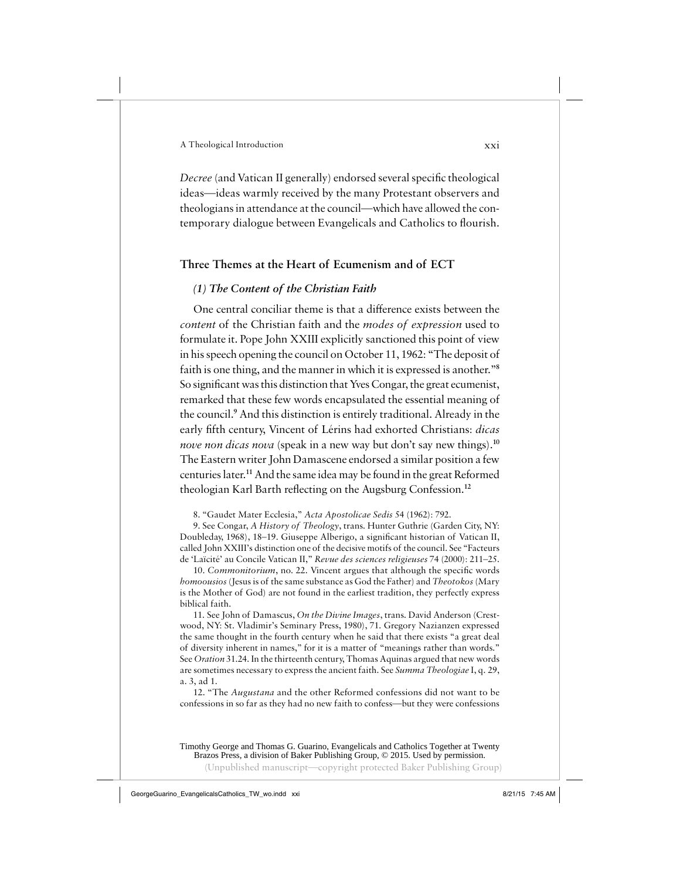*Decree* (and Vatican II generally) endorsed several specific theological ideas—ideas warmly received by the many Protestant observers and theologians in attendance at the council—which have allowed the contemporary dialogue between Evangelicals and Catholics to flourish.

#### **Three Themes at the Heart of Ecumenism and of ECT**

#### **(1) The Content of the Christian Faith**

One central conciliar theme is that a difference exists between the *content* of the Christian faith and the *modes of expression* used to formulate it. Pope John XXIII explicitly sanctioned this point of view in his speech opening the council on October 11, 1962: "The deposit of faith is one thing, and the manner in which it is expressed is another."**<sup>8</sup>** So significant was this distinction that Yves Congar, the great ecumenist, remarked that these few words encapsulated the essential meaning of the council.**<sup>9</sup>** And this distinction is entirely traditional. Already in the early fifth century, Vincent of Lérins had exhorted Christians: *dicas nove non dicas nova* (speak in a new way but don't say new things).**<sup>10</sup>** The Eastern writer John Damascene endorsed a similar position a few centuries later.**<sup>11</sup>** And the same idea may be found in the great Reformed theologian Karl Barth reflecting on the Augsburg Confession.**<sup>12</sup>**

8. "Gaudet Mater Ecclesia," *Acta Apostolicae Sedis* 54 (1962): 792.

9. See Congar, *A History of Theology*, trans. Hunter Guthrie (Garden City, NY: Doubleday, 1968), 18–19. Giuseppe Alberigo, a significant historian of Vatican II, called John XXIII's distinction one of the decisive motifs of the council. See "Facteurs de 'Laïcité' au Concile Vatican II," *Revue des sciences religieuses* 74 (2000): 211–25.

10. *Commonitorium*, no. 22. Vincent argues that although the specific words *homoousios* (Jesus is of the same substance as God the Father) and *Theotokos* (Mary is the Mother of God) are not found in the earliest tradition, they perfectly express biblical faith.

11. See John of Damascus, *On the Divine Images*, trans. David Anderson (Crestwood, NY: St. Vladimir's Seminary Press, 1980), 71. Gregory Nazianzen expressed the same thought in the fourth century when he said that there exists "a great deal of diversity inherent in names," for it is a matter of "meanings rather than words." See *Oration* 31.24. In the thirteenth century, Thomas Aquinas argued that new words are sometimes necessary to express the ancient faith. See *Summa Theologiae* I, q. 29, a. 3, ad 1.

12. "The *Augustana* and the other Reformed confessions did not want to be confessions in so far as they had no new faith to confess—but they were confessions

Timothy George and Thomas G. Guarino, Evangelicals and Catholics Together at Twenty Brazos Press, a division of Baker Publishing Group, © 2015. Used by permission.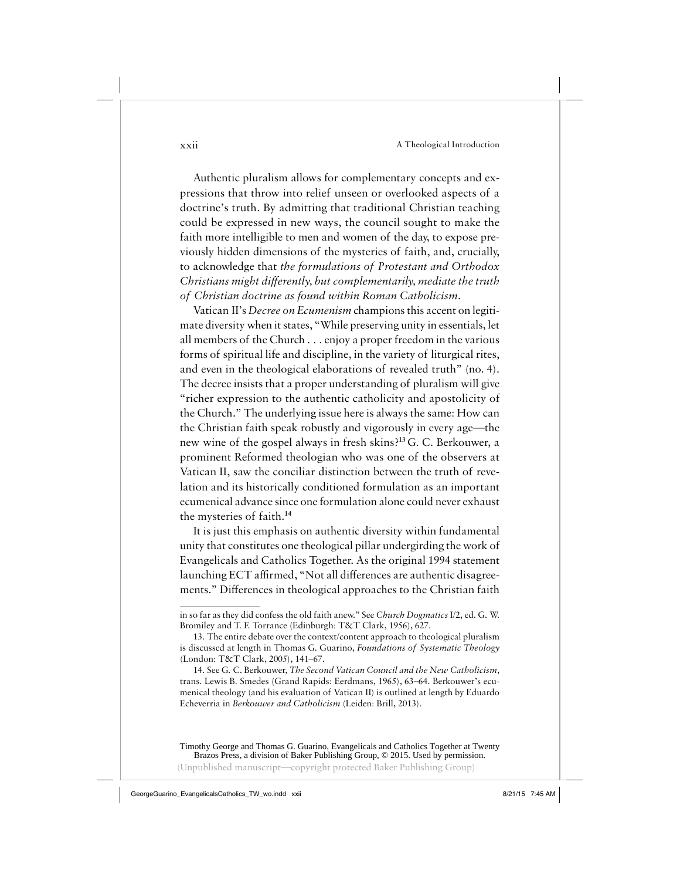Authentic pluralism allows for complementary concepts and expressions that throw into relief unseen or overlooked aspects of a doctrine's truth. By admitting that traditional Christian teaching could be expressed in new ways, the council sought to make the faith more intelligible to men and women of the day, to expose previously hidden dimensions of the mysteries of faith, and, crucially, to acknowledge that *the formulations of Protestant and Orthodox Christians might differently, but complementarily, mediate the truth of Christian doctrine as found within Roman Catholicism*.

Vatican II's *Decree on Ecumenism* champions this accent on legitimate diversity when it states, "While preserving unity in essentials, let all members of the Church . . . enjoy a proper freedom in the various forms of spiritual life and discipline, in the variety of liturgical rites, and even in the theological elaborations of revealed truth" (no. 4). The decree insists that a proper understanding of pluralism will give "richer expression to the authentic catholicity and apostolicity of the Church." The underlying issue here is always the same: How can the Christian faith speak robustly and vigorously in every age—the new wine of the gospel always in fresh skins?**<sup>13</sup>**G. C. Berkouwer, a prominent Reformed theologian who was one of the observers at Vatican II, saw the conciliar distinction between the truth of revelation and its historically conditioned formulation as an important ecumenical advance since one formulation alone could never exhaust the mysteries of faith.**<sup>14</sup>**

It is just this emphasis on authentic diversity within fundamental unity that constitutes one theological pillar undergirding the work of Evangelicals and Catholics Together. As the original 1994 statement launching ECT affirmed, "Not all differences are authentic disagreements." Differences in theological approaches to the Christian faith

Timothy George and Thomas G. Guarino, Evangelicals and Catholics Together at Twenty Brazos Press, a division of Baker Publishing Group, © 2015. Used by permission.

in so far as they did confess the old faith anew." See *Church Dogmatics* I/2, ed. G. W. Bromiley and T. F. Torrance (Edinburgh: T&T Clark, 1956), 627.

<sup>13.</sup> The entire debate over the context/content approach to theological pluralism is discussed at length in Thomas G. Guarino, *Foundations of Systematic Theology* (London: T&T Clark, 2005), 141–67.

<sup>14.</sup> See G. C. Berkouwer, *The Second Vatican Council and the New Catholicism*, trans. Lewis B. Smedes (Grand Rapids: Eerdmans, 1965), 63–64. Berkouwer's ecumenical theology (and his evaluation of Vatican II) is outlined at length by Eduardo Echeverria in *Berkouwer and Catholicism* (Leiden: Brill, 2013).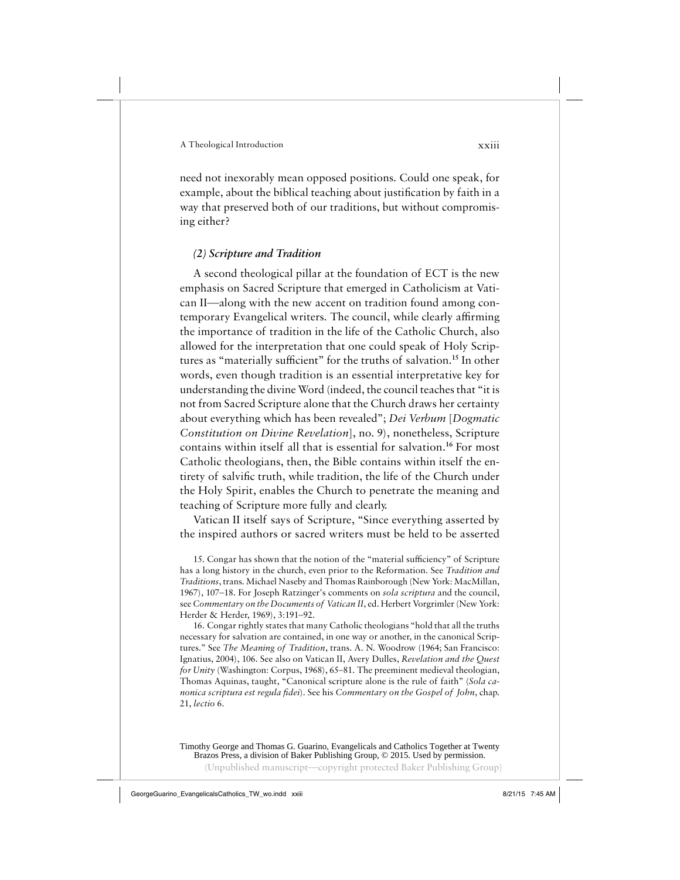need not inexorably mean opposed positions. Could one speak, for example, about the biblical teaching about justification by faith in a way that preserved both of our traditions, but without compromising either?

#### **(2) Scripture and Tradition**

A second theological pillar at the foundation of ECT is the new emphasis on Sacred Scripture that emerged in Catholicism at Vatican II—along with the new accent on tradition found among contemporary Evangelical writers. The council, while clearly affirming the importance of tradition in the life of the Catholic Church, also allowed for the interpretation that one could speak of Holy Scriptures as "materially sufficient" for the truths of salvation.<sup>15</sup> In other words, even though tradition is an essential interpretative key for understanding the divine Word (indeed, the council teaches that "it is not from Sacred Scripture alone that the Church draws her certainty about everything which has been revealed"; *Dei Verbum* [*Dogmatic Constitution on Divine Revelation*], no. 9), nonetheless, Scripture contains within itself all that is essential for salvation.**<sup>16</sup>** For most Catholic theologians, then, the Bible contains within itself the entirety of salvific truth, while tradition, the life of the Church under the Holy Spirit, enables the Church to penetrate the meaning and teaching of Scripture more fully and clearly.

Vatican II itself says of Scripture, "Since everything asserted by the inspired authors or sacred writers must be held to be asserted

15. Congar has shown that the notion of the "material sufficiency" of Scripture has a long history in the church, even prior to the Reformation. See *Tradition and Traditions*, trans. Michael Naseby and Thomas Rainborough (New York: MacMillan, 1967), 107–18. For Joseph Ratzinger's comments on *sola scriptura* and the council, see *Commentary on the Documents of Vatican II*, ed. Herbert Vorgrimler (New York: Herder & Herder, 1969), 3:191–92.

16. Congar rightly states that many Catholic theologians "hold that all the truths necessary for salvation are contained, in one way or another, in the canonical Scriptures." See *The Meaning of Tradition*, trans. A. N. Woodrow (1964; San Francisco: Ignatius, 2004), 106. See also on Vatican II, Avery Dulles, *Revelation and the Quest for Unity* (Washington: Corpus, 1968), 65–81. The preeminent medieval theologian, Thomas Aquinas, taught, "Canonical scripture alone is the rule of faith" (*Sola canonica scriptura est regula fidei*). See his *Commentary on the Gospel of John*, chap. 21, *lectio* 6.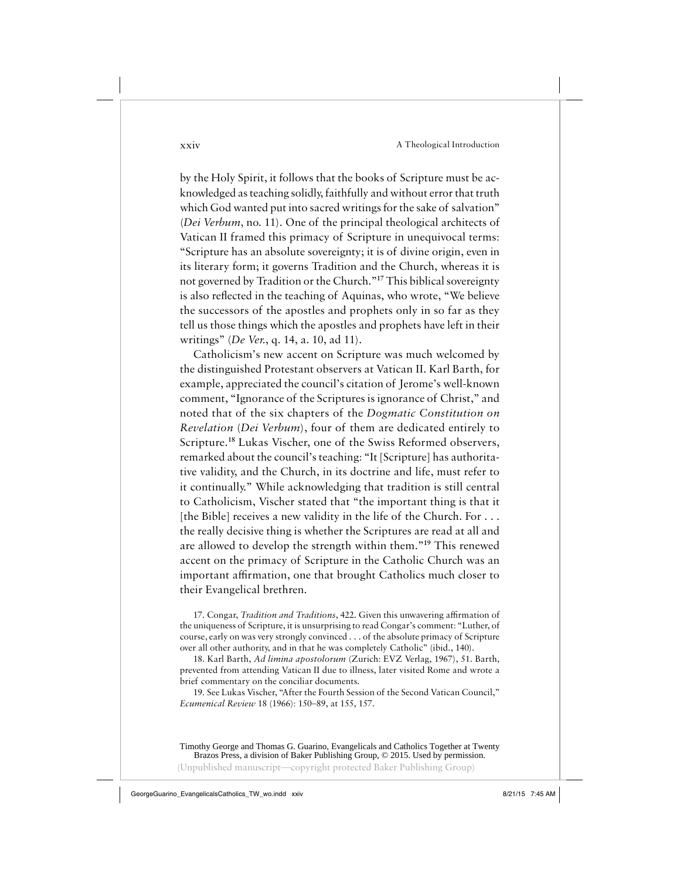by the Holy Spirit, it follows that the books of Scripture must be acknowledged as teaching solidly, faithfully and without error that truth which God wanted put into sacred writings for the sake of salvation" (*Dei Verbum*, no. 11). One of the principal theological architects of Vatican II framed this primacy of Scripture in unequivocal terms: "Scripture has an absolute sovereignty; it is of divine origin, even in its literary form; it governs Tradition and the Church, whereas it is not governed by Tradition or the Church."**<sup>17</sup>** This biblical sovereignty is also reflected in the teaching of Aquinas, who wrote, "We believe the successors of the apostles and prophets only in so far as they tell us those things which the apostles and prophets have left in their writings" (*De Ver.*, q. 14, a. 10, ad 11).

Catholicism's new accent on Scripture was much welcomed by the distinguished Protestant observers at Vatican II. Karl Barth, for example, appreciated the council's citation of Jerome's well-known comment, "Ignorance of the Scriptures is ignorance of Christ," and noted that of the six chapters of the *Dogmatic Constitution on Revelation* (*Dei Verbum*), four of them are dedicated entirely to Scripture.**<sup>18</sup>** Lukas Vischer, one of the Swiss Reformed observers, remarked about the council's teaching: "It [Scripture] has authoritative validity, and the Church, in its doctrine and life, must refer to it continually." While acknowledging that tradition is still central to Catholicism, Vischer stated that "the important thing is that it [the Bible] receives a new validity in the life of the Church. For . . . the really decisive thing is whether the Scriptures are read at all and are allowed to develop the strength within them."**<sup>19</sup>** This renewed accent on the primacy of Scripture in the Catholic Church was an important affirmation, one that brought Catholics much closer to their Evangelical brethren.

17. Congar, *Tradition and Traditions*, 422. Given this unwavering affirmation of the uniqueness of Scripture, it is unsurprising to read Congar's comment: "Luther, of course, early on was very strongly convinced . . . of the absolute primacy of Scripture over all other authority, and in that he was completely Catholic" (ibid., 140).

18. Karl Barth, *Ad limina apostolorum* (Zurich: EVZ Verlag, 1967), 51. Barth, prevented from attending Vatican II due to illness, later visited Rome and wrote a brief commentary on the conciliar documents.

19. See Lukas Vischer, "After the Fourth Session of the Second Vatican Council," *Ecumenical Review* 18 (1966): 150–89, at 155, 157.

Timothy George and Thomas G. Guarino, Evangelicals and Catholics Together at Twenty Brazos Press, a division of Baker Publishing Group, © 2015. Used by permission.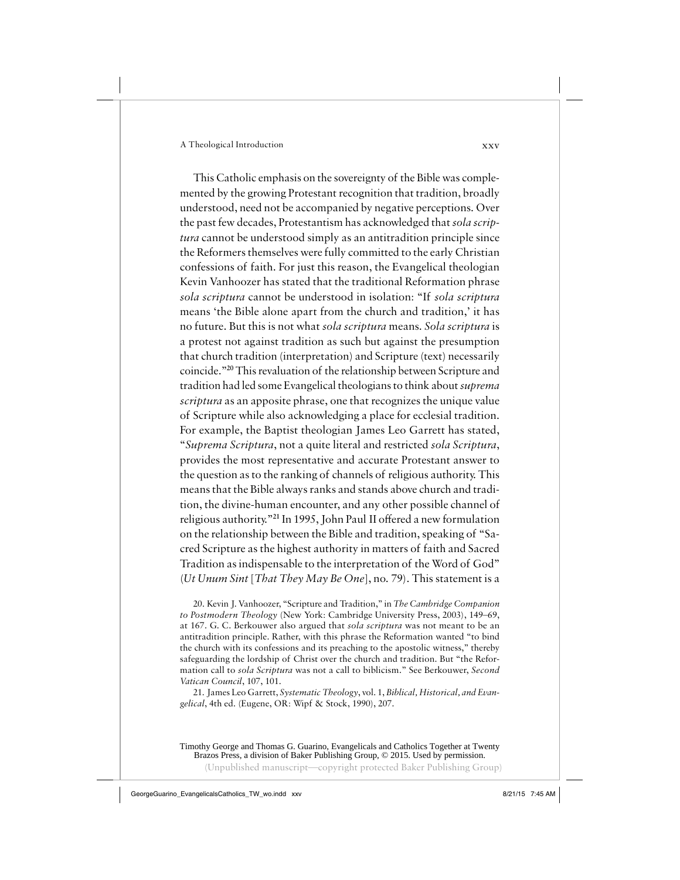This Catholic emphasis on the sovereignty of the Bible was complemented by the growing Protestant recognition that tradition, broadly understood, need not be accompanied by negative perceptions. Over the past few decades, Protestantism has acknowledged that *sola scriptura* cannot be understood simply as an antitradition principle since the Reformers themselves were fully committed to the early Christian confessions of faith. For just this reason, the Evangelical theologian Kevin Vanhoozer has stated that the traditional Reformation phrase *sola scriptura* cannot be understood in isolation: "If *sola scriptura* means 'the Bible alone apart from the church and tradition,' it has no future. But this is not what *sola scriptura* means. *Sola scriptura* is a protest not against tradition as such but against the presumption that church tradition (interpretation) and Scripture (text) necessarily coincide."**<sup>20</sup>** This revaluation of the relationship between Scripture and tradition had led some Evangelical theologians to think about *suprema scriptura* as an apposite phrase, one that recognizes the unique value of Scripture while also acknowledging a place for ecclesial tradition. For example, the Baptist theologian James Leo Garrett has stated, "*Suprema Scriptura*, not a quite literal and restricted *sola Scriptura*, provides the most representative and accurate Protestant answer to the question as to the ranking of channels of religious authority. This means that the Bible always ranks and stands above church and tradition, the divine-human encounter, and any other possible channel of religious authority."<sup>21</sup> In 1995, John Paul II offered a new formulation on the relationship between the Bible and tradition, speaking of "Sacred Scripture as the highest authority in matters of faith and Sacred Tradition as indispensable to the interpretation of the Word of God" (*Ut Unum Sint* [*That They May Be One*], no. 79). This statement is a

20. Kevin J. Vanhoozer, "Scripture and Tradition," in *The Cambridge Companion to Postmodern Theology* (New York: Cambridge University Press, 2003), 149–69, at 167. G. C. Berkouwer also argued that *sola scriptura* was not meant to be an antitradition principle. Rather, with this phrase the Reformation wanted "to bind the church with its confessions and its preaching to the apostolic witness," thereby safeguarding the lordship of Christ over the church and tradition. But "the Reformation call to *sola Scriptura* was not a call to biblicism." See Berkouwer, *Second Vatican Council*, 107, 101.

21. James Leo Garrett, *Systematic Theology*, vol. 1, *Biblical, Historical, and Evangelical*, 4th ed. (Eugene, OR: Wipf & Stock, 1990), 207.

Timothy George and Thomas G. Guarino, Evangelicals and Catholics Together at Twenty Brazos Press, a division of Baker Publishing Group, © 2015. Used by permission.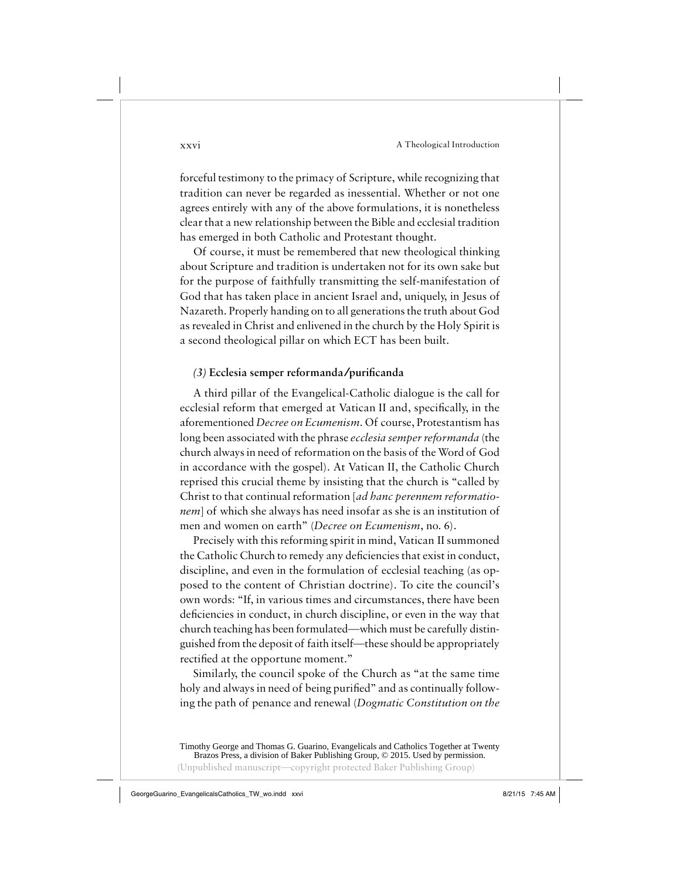forceful testimony to the primacy of Scripture, while recognizing that tradition can never be regarded as inessential. Whether or not one agrees entirely with any of the above formulations, it is nonetheless clear that a new relationship between the Bible and ecclesial tradition has emerged in both Catholic and Protestant thought.

Of course, it must be remembered that new theological thinking about Scripture and tradition is undertaken not for its own sake but for the purpose of faithfully transmitting the self-manifestation of God that has taken place in ancient Israel and, uniquely, in Jesus of Nazareth. Properly handing on to all generations the truth about God as revealed in Christ and enlivened in the church by the Holy Spirit is a second theological pillar on which ECT has been built.

#### **(3) Ecclesia semper reformanda/purificanda**

A third pillar of the Evangelical-Catholic dialogue is the call for ecclesial reform that emerged at Vatican II and, specifically, in the aforementioned *Decree on Ecumenism*. Of course, Protestantism has long been associated with the phrase *ecclesia semper reformanda* (the church always in need of reformation on the basis of the Word of God in accordance with the gospel). At Vatican II, the Catholic Church reprised this crucial theme by insisting that the church is "called by Christ to that continual reformation [*ad hanc perennem reformationem*] of which she always has need insofar as she is an institution of men and women on earth" (*Decree on Ecumenism*, no. 6).

Precisely with this reforming spirit in mind, Vatican II summoned the Catholic Church to remedy any deficiencies that exist in conduct, discipline, and even in the formulation of ecclesial teaching (as opposed to the content of Christian doctrine). To cite the council's own words: "If, in various times and circumstances, there have been deficiencies in conduct, in church discipline, or even in the way that church teaching has been formulated—which must be carefully distinguished from the deposit of faith itself—these should be appropriately rectified at the opportune moment."

Similarly, the council spoke of the Church as "at the same time holy and always in need of being purified" and as continually following the path of penance and renewal (*Dogmatic Constitution on the*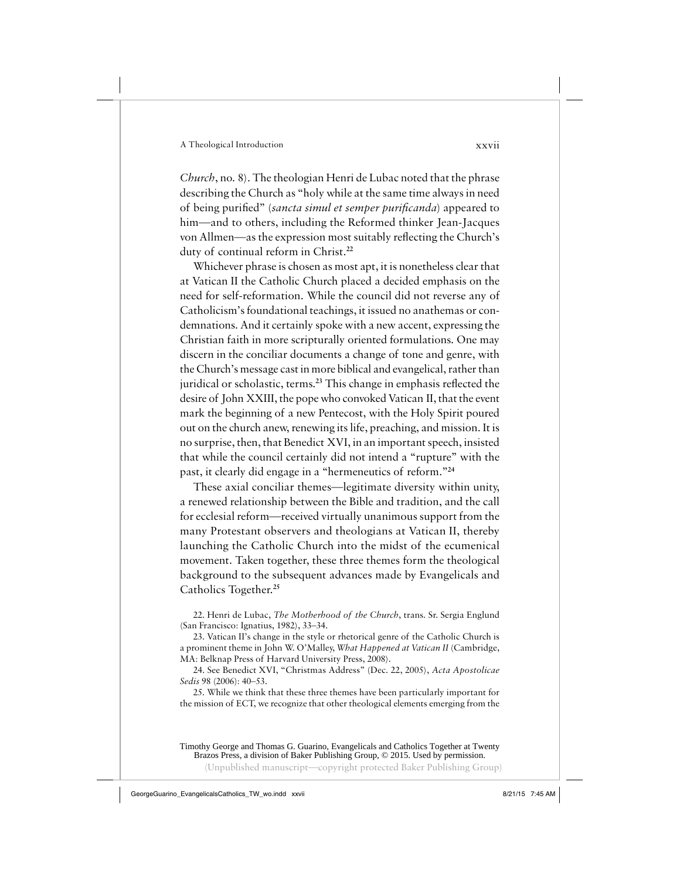*Church*, no. 8). The theologian Henri de Lubac noted that the phrase describing the Church as "holy while at the same time always in need of being purified" (*sancta simul et semper purificanda*) appeared to him—and to others, including the Reformed thinker Jean-Jacques von Allmen—as the expression most suitably reflecting the Church's duty of continual reform in Christ.**<sup>22</sup>**

Whichever phrase is chosen as most apt, it is nonetheless clear that at Vatican II the Catholic Church placed a decided emphasis on the need for self-reformation. While the council did not reverse any of Catholicism's foundational teachings, it issued no anathemas or condemnations. And it certainly spoke with a new accent, expressing the Christian faith in more scripturally oriented formulations. One may discern in the conciliar documents a change of tone and genre, with the Church's message cast in more biblical and evangelical, rather than juridical or scholastic, terms.**<sup>23</sup>** This change in emphasis reflected the desire of John XXIII, the pope who convoked Vatican II, that the event mark the beginning of a new Pentecost, with the Holy Spirit poured out on the church anew, renewing its life, preaching, and mission. It is no surprise, then, that Benedict XVI, in an important speech, insisted that while the council certainly did not intend a "rupture" with the past, it clearly did engage in a "hermeneutics of reform."**<sup>24</sup>**

These axial conciliar themes—legitimate diversity within unity, a renewed relationship between the Bible and tradition, and the call for ecclesial reform—received virtually unanimous support from the many Protestant observers and theologians at Vatican II, thereby launching the Catholic Church into the midst of the ecumenical movement. Taken together, these three themes form the theological background to the subsequent advances made by Evangelicals and Catholics Together.**<sup>25</sup>**

22. Henri de Lubac, *The Motherhood of the Church*, trans. Sr. Sergia Englund (San Francisco: Ignatius, 1982), 33–34.

23. Vatican II's change in the style or rhetorical genre of the Catholic Church is a prominent theme in John W. O'Malley, *What Happened at Vatican II* (Cambridge, MA: Belknap Press of Harvard University Press, 2008).

24. See Benedict XVI, "Christmas Address" (Dec. 22, 2005), *Acta Apostolicae Sedis* 98 (2006): 40–53.

25. While we think that these three themes have been particularly important for the mission of ECT, we recognize that other theological elements emerging from the

Timothy George and Thomas G. Guarino, Evangelicals and Catholics Together at Twenty Brazos Press, a division of Baker Publishing Group, © 2015. Used by permission.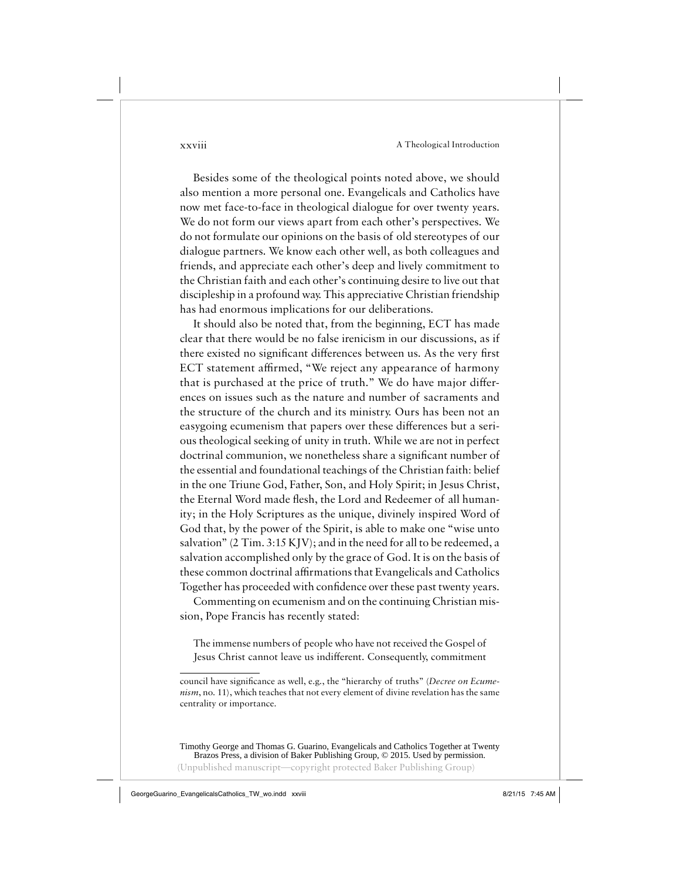Besides some of the theological points noted above, we should also mention a more personal one. Evangelicals and Catholics have now met face-to-face in theological dialogue for over twenty years. We do not form our views apart from each other's perspectives. We do not formulate our opinions on the basis of old stereotypes of our dialogue partners. We know each other well, as both colleagues and friends, and appreciate each other's deep and lively commitment to the Christian faith and each other's continuing desire to live out that discipleship in a profound way. This appreciative Christian friendship has had enormous implications for our deliberations.

It should also be noted that, from the beginning, ECT has made clear that there would be no false irenicism in our discussions, as if there existed no significant differences between us. As the very first ECT statement affirmed, "We reject any appearance of harmony that is purchased at the price of truth." We do have major differences on issues such as the nature and number of sacraments and the structure of the church and its ministry. Ours has been not an easygoing ecumenism that papers over these differences but a serious theological seeking of unity in truth. While we are not in perfect doctrinal communion, we nonetheless share a significant number of the essential and foundational teachings of the Christian faith: belief in the one Triune God, Father, Son, and Holy Spirit; in Jesus Christ, the Eternal Word made flesh, the Lord and Redeemer of all humanity; in the Holy Scriptures as the unique, divinely inspired Word of God that, by the power of the Spirit, is able to make one "wise unto salvation" (2 Tim. 3:15 KJV); and in the need for all to be redeemed, a salvation accomplished only by the grace of God. It is on the basis of these common doctrinal affirmations that Evangelicals and Catholics Together has proceeded with confidence over these past twenty years.

Commenting on ecumenism and on the continuing Christian mission, Pope Francis has recently stated:

The immense numbers of people who have not received the Gospel of Jesus Christ cannot leave us indifferent. Consequently, commitment

council have significance as well, e.g., the "hierarchy of truths" (*Decree on Ecumenism*, no. 11), which teaches that not every element of divine revelation has the same centrality or importance.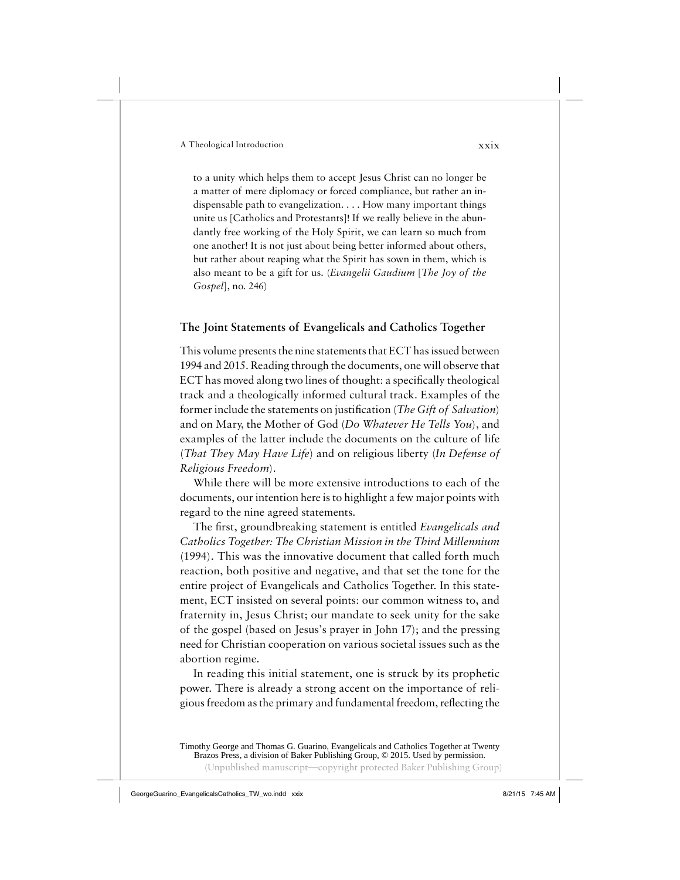to a unity which helps them to accept Jesus Christ can no longer be a matter of mere diplomacy or forced compliance, but rather an indispensable path to evangelization. . . . How many important things unite us [Catholics and Protestants]! If we really believe in the abundantly free working of the Holy Spirit, we can learn so much from one another! It is not just about being better informed about others, but rather about reaping what the Spirit has sown in them, which is also meant to be a gift for us. (*Evangelii Gaudium* [*The Joy of the Gospel*], no. 246)

#### **The Joint Statements of Evangelicals and Catholics Together**

This volume presents the nine statements that ECT has issued between 1994 and 2015. Reading through the documents, one will observe that ECT has moved along two lines of thought: a specifically theological track and a theologically informed cultural track. Examples of the former include the statements on justification (*The Gift of Salvation*) and on Mary, the Mother of God (*Do Whatever He Tells You*), and examples of the latter include the documents on the culture of life (*That They May Have Life*) and on religious liberty (*In Defense of Religious Freedom*).

While there will be more extensive introductions to each of the documents, our intention here is to highlight a few major points with regard to the nine agreed statements.

The first, groundbreaking statement is entitled *Evangelicals and Catholics Together: The Christian Mission in the Third Millennium* (1994). This was the innovative document that called forth much reaction, both positive and negative, and that set the tone for the entire project of Evangelicals and Catholics Together. In this statement, ECT insisted on several points: our common witness to, and fraternity in, Jesus Christ; our mandate to seek unity for the sake of the gospel (based on Jesus's prayer in John 17); and the pressing need for Christian cooperation on various societal issues such as the abortion regime.

In reading this initial statement, one is struck by its prophetic power. There is already a strong accent on the importance of religious freedom as the primary and fundamental freedom, reflecting the

Timothy George and Thomas G. Guarino, Evangelicals and Catholics Together at Twenty Brazos Press, a division of Baker Publishing Group, © 2015. Used by permission.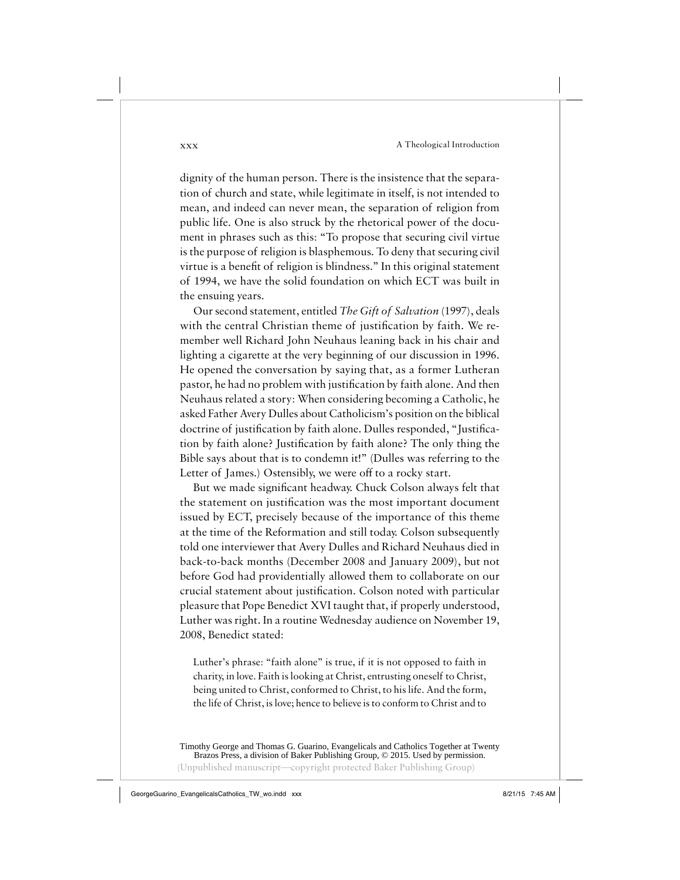dignity of the human person. There is the insistence that the separation of church and state, while legitimate in itself, is not intended to mean, and indeed can never mean, the separation of religion from public life. One is also struck by the rhetorical power of the document in phrases such as this: "To propose that securing civil virtue is the purpose of religion is blasphemous. To deny that securing civil virtue is a benefit of religion is blindness." In this original statement of 1994, we have the solid foundation on which ECT was built in the ensuing years.

Our second statement, entitled *The Gift of Salvation* (1997), deals with the central Christian theme of justification by faith. We remember well Richard John Neuhaus leaning back in his chair and lighting a cigarette at the very beginning of our discussion in 1996. He opened the conversation by saying that, as a former Lutheran pastor, he had no problem with justification by faith alone. And then Neuhaus related a story: When considering becoming a Catholic, he asked Father Avery Dulles about Catholicism's position on the biblical doctrine of justification by faith alone. Dulles responded, "Justification by faith alone? Justification by faith alone? The only thing the Bible says about that is to condemn it!" (Dulles was referring to the Letter of James.) Ostensibly, we were off to a rocky start.

But we made significant headway. Chuck Colson always felt that the statement on justification was the most important document issued by ECT, precisely because of the importance of this theme at the time of the Reformation and still today. Colson subsequently told one interviewer that Avery Dulles and Richard Neuhaus died in back-to-back months (December 2008 and January 2009), but not before God had providentially allowed them to collaborate on our crucial statement about justification. Colson noted with particular pleasure that Pope Benedict XVI taught that, if properly understood, Luther was right. In a routine Wednesday audience on November 19, 2008, Benedict stated:

Luther's phrase: "faith alone" is true, if it is not opposed to faith in charity, in love. Faith is looking at Christ, entrusting oneself to Christ, being united to Christ, conformed to Christ, to his life. And the form, the life of Christ, is love; hence to believe is to conform to Christ and to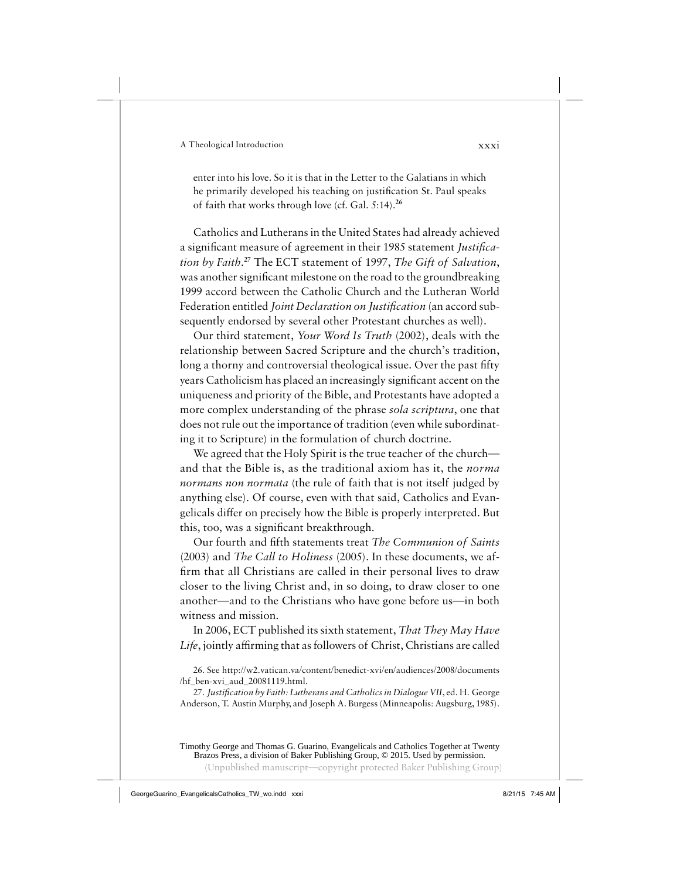enter into his love. So it is that in the Letter to the Galatians in which he primarily developed his teaching on justification St. Paul speaks of faith that works through love (cf. Gal. 5:14).**<sup>26</sup>**

Catholics and Lutherans in the United States had already achieved a significant measure of agreement in their 1985 statement *Justification by Faith*. **<sup>27</sup>** The ECT statement of 1997, *The Gift of Salvation*, was another significant milestone on the road to the groundbreaking 1999 accord between the Catholic Church and the Lutheran World Federation entitled *Joint Declaration on Justification* (an accord subsequently endorsed by several other Protestant churches as well).

Our third statement, *Your Word Is Truth* (2002), deals with the relationship between Sacred Scripture and the church's tradition, long a thorny and controversial theological issue. Over the past fifty years Catholicism has placed an increasingly significant accent on the uniqueness and priority of the Bible, and Protestants have adopted a more complex understanding of the phrase *sola scriptura*, one that does not rule out the importance of tradition (even while subordinating it to Scripture) in the formulation of church doctrine.

We agreed that the Holy Spirit is the true teacher of the church and that the Bible is, as the traditional axiom has it, the *norma normans non normata* (the rule of faith that is not itself judged by anything else). Of course, even with that said, Catholics and Evangelicals differ on precisely how the Bible is properly interpreted. But this, too, was a significant breakthrough.

Our fourth and fifth statements treat *The Communion of Saints* (2003) and *The Call to Holiness* (2005). In these documents, we affirm that all Christians are called in their personal lives to draw closer to the living Christ and, in so doing, to draw closer to one another—and to the Christians who have gone before us—in both witness and mission.

In 2006, ECT published its sixth statement, *That They May Have Life*, jointly affirming that as followers of Christ, Christians are called

27. *Justification by Faith: Lutherans and Catholics in Dialogue VII*, ed. H. George Anderson, T. Austin Murphy, and Joseph A. Burgess (Minneapolis: Augsburg, 1985).

Timothy George and Thomas G. Guarino, Evangelicals and Catholics Together at Twenty Brazos Press, a division of Baker Publishing Group, © 2015. Used by permission.

<sup>26.</sup> See http://w2.vatican.va/content/benedict-xvi/en/audiences/2008/documents /hf\_ben-xvi\_aud\_20081119.html.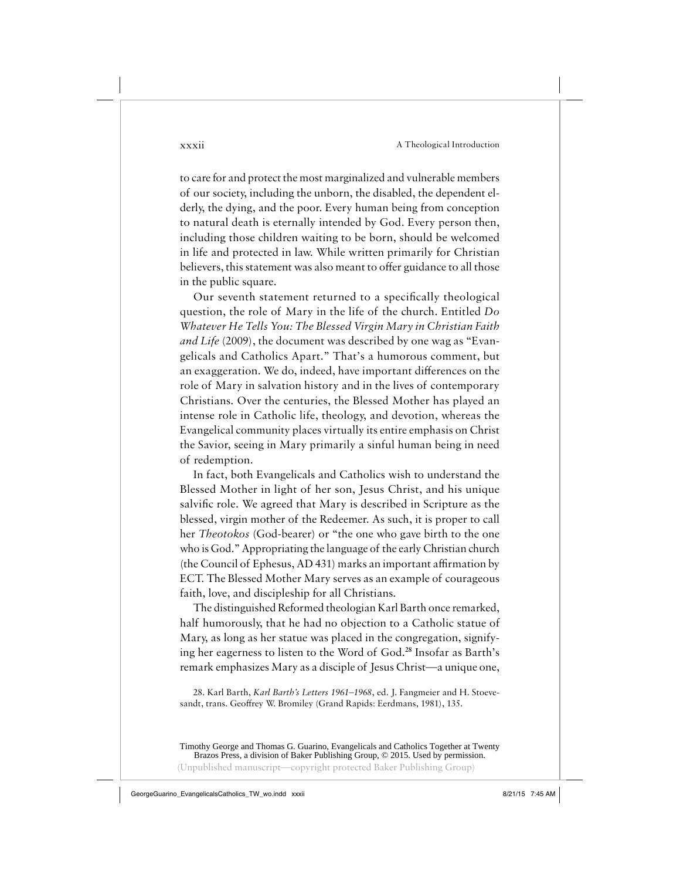to care for and protect the most marginalized and vulnerable members of our society, including the unborn, the disabled, the dependent elderly, the dying, and the poor. Every human being from conception to natural death is eternally intended by God. Every person then, including those children waiting to be born, should be welcomed in life and protected in law. While written primarily for Christian believers, this statement was also meant to offer guidance to all those in the public square.

Our seventh statement returned to a specifically theological question, the role of Mary in the life of the church. Entitled *Do Whatever He Tells You: The Blessed Virgin Mary in Christian Faith and Life* (2009), the document was described by one wag as "Evangelicals and Catholics Apart." That's a humorous comment, but an exaggeration. We do, indeed, have important differences on the role of Mary in salvation history and in the lives of contemporary Christians. Over the centuries, the Blessed Mother has played an intense role in Catholic life, theology, and devotion, whereas the Evangelical community places virtually its entire emphasis on Christ the Savior, seeing in Mary primarily a sinful human being in need of redemption.

In fact, both Evangelicals and Catholics wish to understand the Blessed Mother in light of her son, Jesus Christ, and his unique salvific role. We agreed that Mary is described in Scripture as the blessed, virgin mother of the Redeemer. As such, it is proper to call her *Theotokos* (God-bearer) or "the one who gave birth to the one who is God." Appropriating the language of the early Christian church (the Council of Ephesus, AD 431) marks an important affirmation by ECT. The Blessed Mother Mary serves as an example of courageous faith, love, and discipleship for all Christians.

The distinguished Reformed theologian Karl Barth once remarked, half humorously, that he had no objection to a Catholic statue of Mary, as long as her statue was placed in the congregation, signifying her eagerness to listen to the Word of God.**<sup>28</sup>** Insofar as Barth's remark emphasizes Mary as a disciple of Jesus Christ—a unique one,

28. Karl Barth, *Karl Barth's Letters 1961–1968*, ed. J. Fangmeier and H. Stoevesandt, trans. Geoffrey W. Bromiley (Grand Rapids: Eerdmans, 1981), 135.

Timothy George and Thomas G. Guarino, Evangelicals and Catholics Together at Twenty Brazos Press, a division of Baker Publishing Group, © 2015. Used by permission.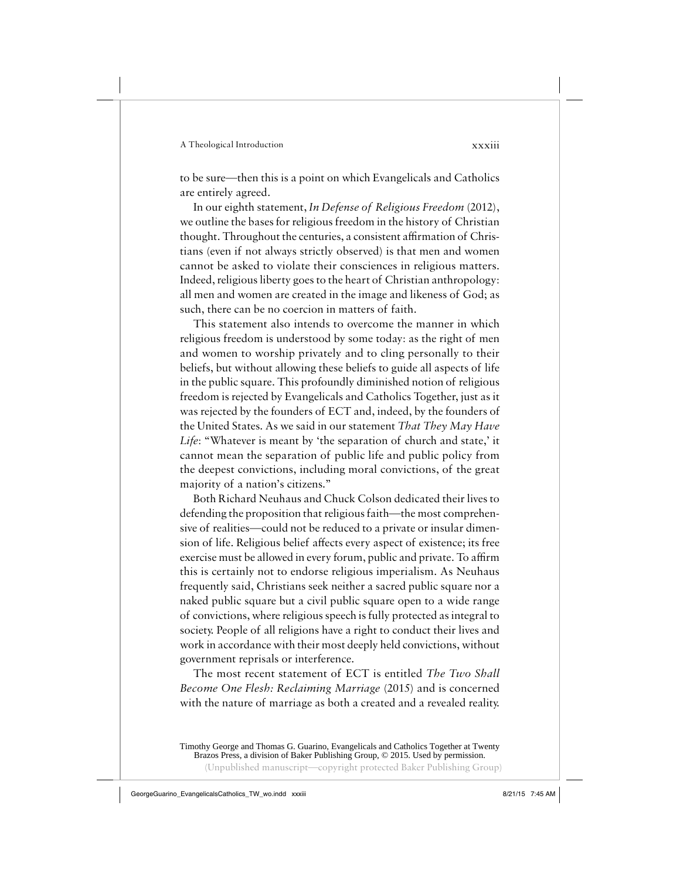to be sure—then this is a point on which Evangelicals and Catholics are entirely agreed.

In our eighth statement, *In Defense of Religious Freedom* (2012), we outline the bases for religious freedom in the history of Christian thought. Throughout the centuries, a consistent affirmation of Christians (even if not always strictly observed) is that men and women cannot be asked to violate their consciences in religious matters. Indeed, religious liberty goes to the heart of Christian anthropology: all men and women are created in the image and likeness of God; as such, there can be no coercion in matters of faith.

This statement also intends to overcome the manner in which religious freedom is understood by some today: as the right of men and women to worship privately and to cling personally to their beliefs, but without allowing these beliefs to guide all aspects of life in the public square. This profoundly diminished notion of religious freedom is rejected by Evangelicals and Catholics Together, just as it was rejected by the founders of ECT and, indeed, by the founders of the United States. As we said in our statement *That They May Have Life*: "Whatever is meant by 'the separation of church and state,' it cannot mean the separation of public life and public policy from the deepest convictions, including moral convictions, of the great majority of a nation's citizens."

Both Richard Neuhaus and Chuck Colson dedicated their lives to defending the proposition that religious faith—the most comprehensive of realities—could not be reduced to a private or insular dimension of life. Religious belief affects every aspect of existence; its free exercise must be allowed in every forum, public and private. To affirm this is certainly not to endorse religious imperialism. As Neuhaus frequently said, Christians seek neither a sacred public square nor a naked public square but a civil public square open to a wide range of convictions, where religious speech is fully protected as integral to society. People of all religions have a right to conduct their lives and work in accordance with their most deeply held convictions, without government reprisals or interference.

The most recent statement of ECT is entitled *The Two Shall Become One Flesh: Reclaiming Marriage* (2015) and is concerned with the nature of marriage as both a created and a revealed reality.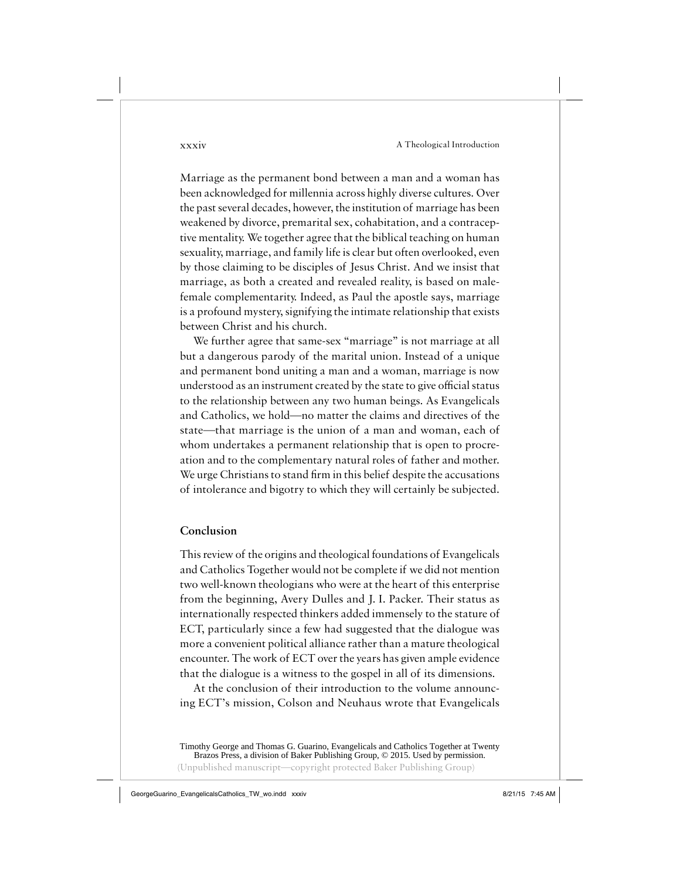Marriage as the permanent bond between a man and a woman has been acknowledged for millennia across highly diverse cultures. Over the past several decades, however, the institution of marriage has been weakened by divorce, premarital sex, cohabitation, and a contraceptive mentality. We together agree that the biblical teaching on human sexuality, marriage, and family life is clear but often overlooked, even by those claiming to be disciples of Jesus Christ. And we insist that marriage, as both a created and revealed reality, is based on malefemale complementarity. Indeed, as Paul the apostle says, marriage is a profound mystery, signifying the intimate relationship that exists between Christ and his church.

We further agree that same-sex "marriage" is not marriage at all but a dangerous parody of the marital union. Instead of a unique and permanent bond uniting a man and a woman, marriage is now understood as an instrument created by the state to give official status to the relationship between any two human beings. As Evangelicals and Catholics, we hold—no matter the claims and directives of the state—that marriage is the union of a man and woman, each of whom undertakes a permanent relationship that is open to procreation and to the complementary natural roles of father and mother. We urge Christians to stand firm in this belief despite the accusations of intolerance and bigotry to which they will certainly be subjected.

#### **Conclusion**

This review of the origins and theological foundations of Evangelicals and Catholics Together would not be complete if we did not mention two well-known theologians who were at the heart of this enterprise from the beginning, Avery Dulles and J. I. Packer. Their status as internationally respected thinkers added immensely to the stature of ECT, particularly since a few had suggested that the dialogue was more a convenient political alliance rather than a mature theological encounter. The work of ECT over the years has given ample evidence that the dialogue is a witness to the gospel in all of its dimensions.

At the conclusion of their introduction to the volume announcing ECT's mission, Colson and Neuhaus wrote that Evangelicals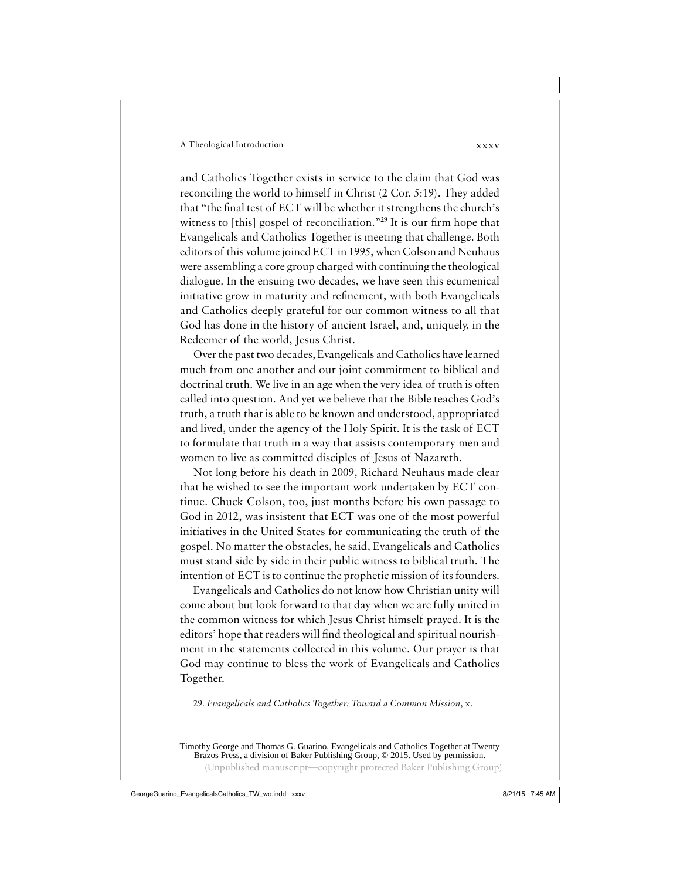and Catholics Together exists in service to the claim that God was reconciling the world to himself in Christ (2 Cor. 5:19). They added that "the final test of ECT will be whether it strengthens the church's witness to [this] gospel of reconciliation."**<sup>29</sup>** It is our firm hope that Evangelicals and Catholics Together is meeting that challenge. Both editors of this volume joined ECT in 1995, when Colson and Neuhaus were assembling a core group charged with continuing the theological dialogue. In the ensuing two decades, we have seen this ecumenical initiative grow in maturity and refinement, with both Evangelicals and Catholics deeply grateful for our common witness to all that God has done in the history of ancient Israel, and, uniquely, in the Redeemer of the world, Jesus Christ.

Over the past two decades, Evangelicals and Catholics have learned much from one another and our joint commitment to biblical and doctrinal truth. We live in an age when the very idea of truth is often called into question. And yet we believe that the Bible teaches God's truth, a truth that is able to be known and understood, appropriated and lived, under the agency of the Holy Spirit. It is the task of ECT to formulate that truth in a way that assists contemporary men and women to live as committed disciples of Jesus of Nazareth.

Not long before his death in 2009, Richard Neuhaus made clear that he wished to see the important work undertaken by ECT continue. Chuck Colson, too, just months before his own passage to God in 2012, was insistent that ECT was one of the most powerful initiatives in the United States for communicating the truth of the gospel. No matter the obstacles, he said, Evangelicals and Catholics must stand side by side in their public witness to biblical truth. The intention of ECT is to continue the prophetic mission of its founders.

Evangelicals and Catholics do not know how Christian unity will come about but look forward to that day when we are fully united in the common witness for which Jesus Christ himself prayed. It is the editors' hope that readers will find theological and spiritual nourishment in the statements collected in this volume. Our prayer is that God may continue to bless the work of Evangelicals and Catholics Together.

29. *Evangelicals and Catholics Together: Toward a Common Mission*, x.

Timothy George and Thomas G. Guarino, Evangelicals and Catholics Together at Twenty Brazos Press, a division of Baker Publishing Group, © 2015. Used by permission.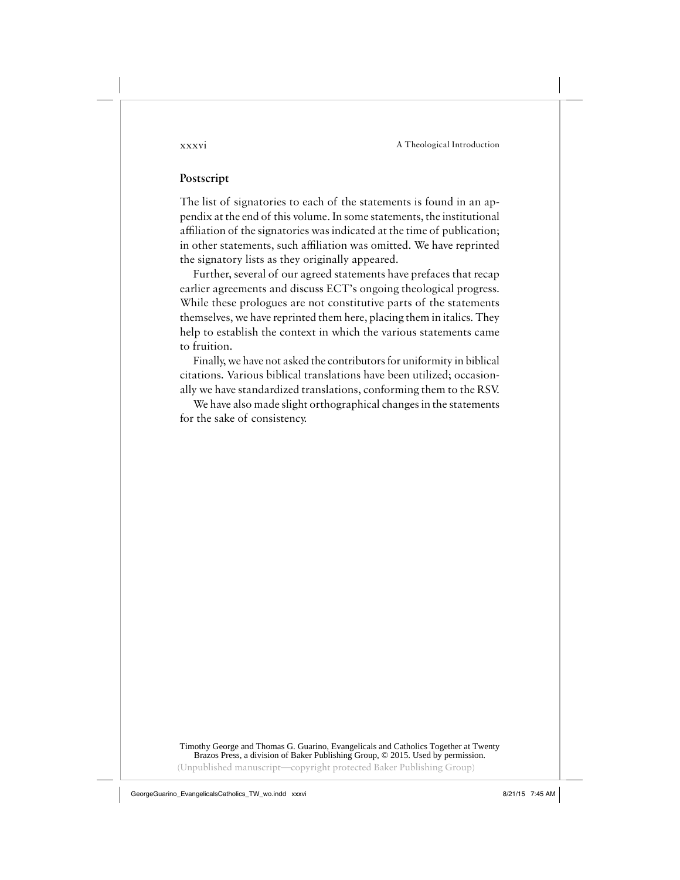#### **Postscript**

The list of signatories to each of the statements is found in an appendix at the end of this volume. In some statements, the institutional affiliation of the signatories was indicated at the time of publication; in other statements, such affiliation was omitted. We have reprinted the signatory lists as they originally appeared.

Further, several of our agreed statements have prefaces that recap earlier agreements and discuss ECT's ongoing theological progress. While these prologues are not constitutive parts of the statements themselves, we have reprinted them here, placing them in italics. They help to establish the context in which the various statements came to fruition.

Finally, we have not asked the contributors for uniformity in biblical citations. Various biblical translations have been utilized; occasionally we have standardized translations, conforming them to the RSV.

We have also made slight orthographical changes in the statements for the sake of consistency.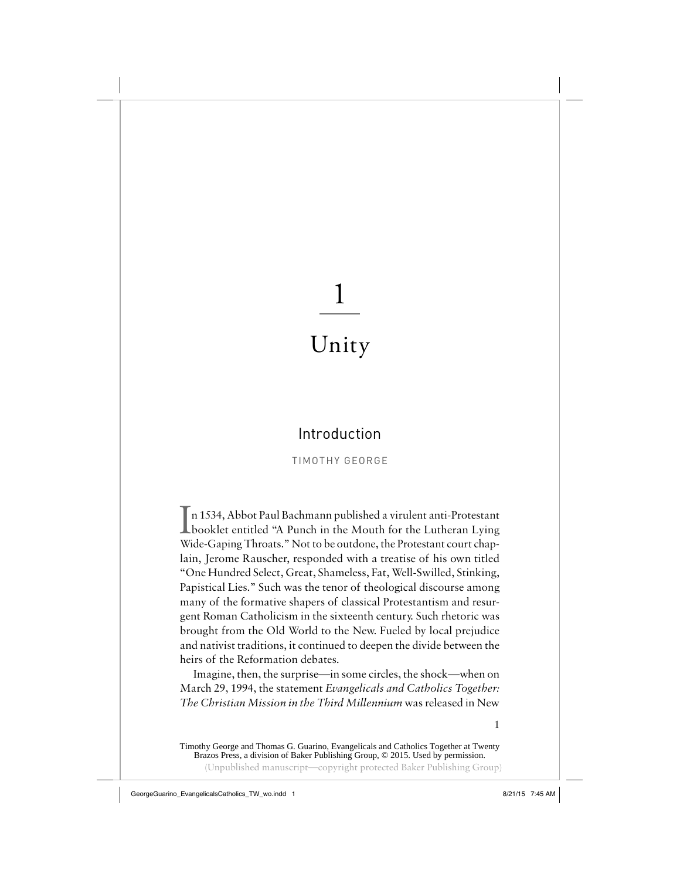## 1

### Unity

#### Introduction

TIMOTHY GFORGF

In 1534, Abbot Paul Bachmann published a virulent anti-Protestant<br>booklet entitled "A Punch in the Mouth for the Lutheran Lying<br>Wide Coping Throats " Not to be outdone the Protestant court chan booklet entitled "A Punch in the Mouth for the Lutheran Lying Wide-Gaping Throats." Not to be outdone, the Protestant court chaplain, Jerome Rauscher, responded with a treatise of his own titled "One Hundred Select, Great, Shameless, Fat, Well-Swilled, Stinking, Papistical Lies." Such was the tenor of theological discourse among many of the formative shapers of classical Protestantism and resurgent Roman Catholicism in the sixteenth century. Such rhetoric was brought from the Old World to the New. Fueled by local prejudice and nativist traditions, it continued to deepen the divide between the heirs of the Reformation debates.

Imagine, then, the surprise—in some circles, the shock—when on March 29, 1994, the statement *Evangelicals and Catholics Together: The Christian Mission in the Third Millennium* was released in New

(Unpublished manuscript—copyright protected Baker Publishing Group) Timothy George and Thomas G. Guarino, Evangelicals and Catholics Together at Twenty Brazos Press, a division of Baker Publishing Group, © 2015. Used by permission.

1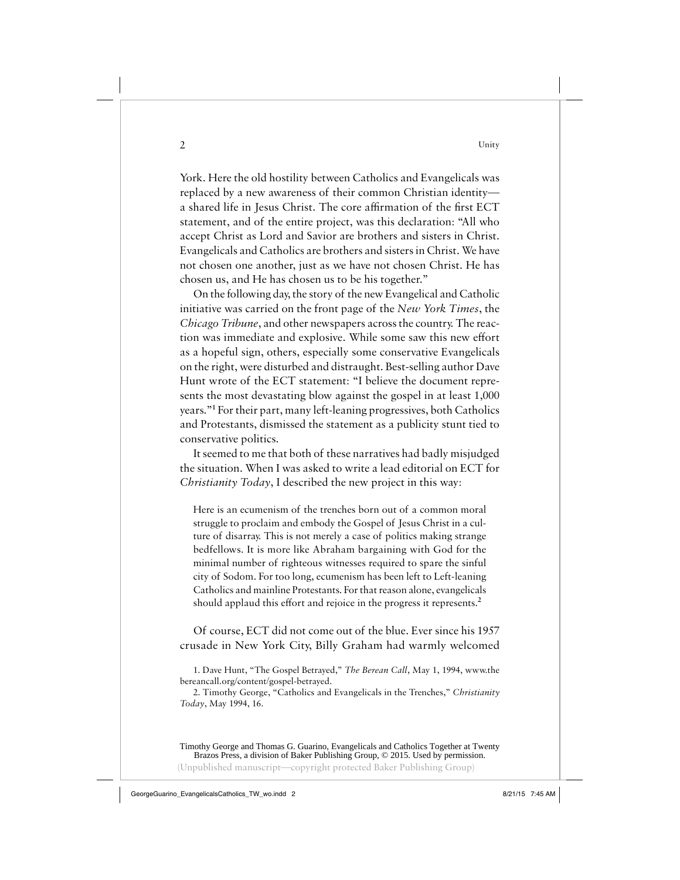York. Here the old hostility between Catholics and Evangelicals was replaced by a new awareness of their common Christian identity a shared life in Jesus Christ. The core affirmation of the first ECT statement, and of the entire project, was this declaration: "All who accept Christ as Lord and Savior are brothers and sisters in Christ. Evangelicals and Catholics are brothers and sisters in Christ. We have not chosen one another, just as we have not chosen Christ. He has chosen us, and He has chosen us to be his together."

On the following day, the story of the new Evangelical and Catholic initiative was carried on the front page of the *New York Times*, the *Chicago Tribune*, and other newspapers across the country. The reaction was immediate and explosive. While some saw this new effort as a hopeful sign, others, especially some conservative Evangelicals on the right, were disturbed and distraught. Best-selling author Dave Hunt wrote of the ECT statement: "I believe the document represents the most devastating blow against the gospel in at least 1,000 years."**<sup>1</sup>** For their part, many left-leaning progressives, both Catholics and Protestants, dismissed the statement as a publicity stunt tied to conservative politics.

It seemed to me that both of these narratives had badly misjudged the situation. When I was asked to write a lead editorial on ECT for *Christianity Today*, I described the new project in this way:

Here is an ecumenism of the trenches born out of a common moral struggle to proclaim and embody the Gospel of Jesus Christ in a culture of disarray. This is not merely a case of politics making strange bedfellows. It is more like Abraham bargaining with God for the minimal number of righteous witnesses required to spare the sinful city of Sodom. For too long, ecumenism has been left to Left-leaning Catholics and mainline Protestants. For that reason alone, evangelicals should applaud this effort and rejoice in the progress it represents.<sup>2</sup>

Of course, ECT did not come out of the blue. Ever since his 1957 crusade in New York City, Billy Graham had warmly welcomed

2. Timothy George, "Catholics and Evangelicals in the Trenches," *Christianity Today*, May 1994, 16.

Timothy George and Thomas G. Guarino, Evangelicals and Catholics Together at Twenty Brazos Press, a division of Baker Publishing Group, © 2015. Used by permission.

<sup>1.</sup> Dave Hunt, "The Gospel Betrayed," *The Berean Call*, May 1, 1994, www.the bereancall.org/content/gospel-betrayed.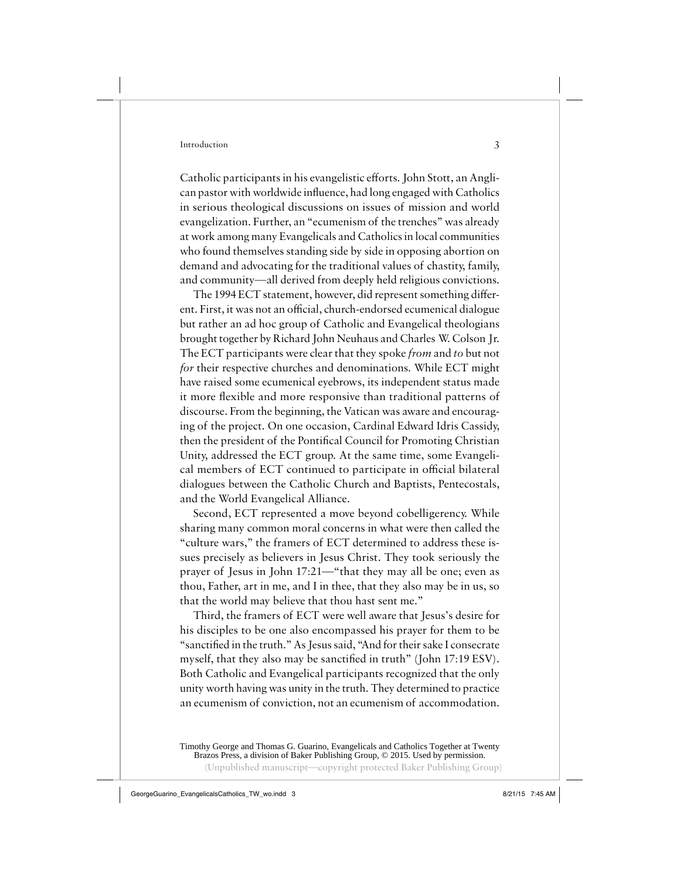Catholic participants in his evangelistic efforts. John Stott, an Anglican pastor with worldwide influence, had long engaged with Catholics in serious theological discussions on issues of mission and world evangelization. Further, an "ecumenism of the trenches" was already at work among many Evangelicals and Catholics in local communities who found themselves standing side by side in opposing abortion on demand and advocating for the traditional values of chastity, family, and community—all derived from deeply held religious convictions.

The 1994 ECT statement, however, did represent something different. First, it was not an official, church-endorsed ecumenical dialogue but rather an ad hoc group of Catholic and Evangelical theologians brought together by Richard John Neuhaus and Charles W. Colson Jr. The ECT participants were clear that they spoke *from* and *to* but not *for* their respective churches and denominations. While ECT might have raised some ecumenical eyebrows, its independent status made it more flexible and more responsive than traditional patterns of discourse. From the beginning, the Vatican was aware and encouraging of the project. On one occasion, Cardinal Edward Idris Cassidy, then the president of the Pontifical Council for Promoting Christian Unity, addressed the ECT group. At the same time, some Evangelical members of ECT continued to participate in official bilateral dialogues between the Catholic Church and Baptists, Pentecostals, and the World Evangelical Alliance.

Second, ECT represented a move beyond cobelligerency. While sharing many common moral concerns in what were then called the "culture wars," the framers of ECT determined to address these issues precisely as believers in Jesus Christ. They took seriously the prayer of Jesus in John 17:21—"that they may all be one; even as thou, Father, art in me, and I in thee, that they also may be in us, so that the world may believe that thou hast sent me."

Third, the framers of ECT were well aware that Jesus's desire for his disciples to be one also encompassed his prayer for them to be "sanctified in the truth." As Jesus said, "And for their sake I consecrate myself, that they also may be sanctified in truth" (John 17:19 ESV). Both Catholic and Evangelical participants recognized that the only unity worth having was unity in the truth. They determined to practice an ecumenism of conviction, not an ecumenism of accommodation.

Timothy George and Thomas G. Guarino, Evangelicals and Catholics Together at Twenty Brazos Press, a division of Baker Publishing Group, © 2015. Used by permission.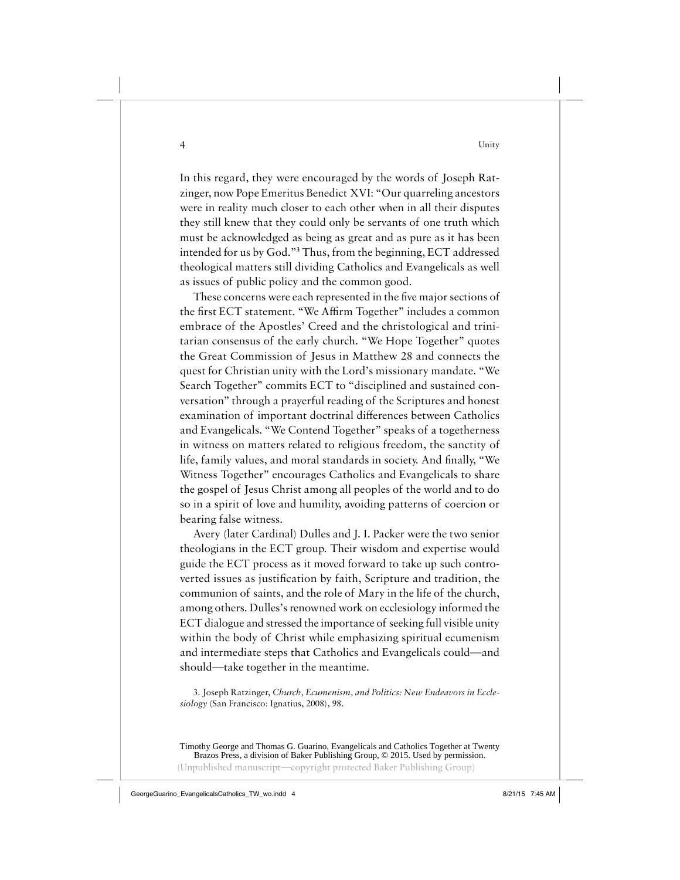In this regard, they were encouraged by the words of Joseph Ratzinger, now Pope Emeritus Benedict XVI: "Our quarreling ancestors were in reality much closer to each other when in all their disputes they still knew that they could only be servants of one truth which must be acknowledged as being as great and as pure as it has been intended for us by God."**<sup>3</sup>** Thus, from the beginning, ECT addressed theological matters still dividing Catholics and Evangelicals as well as issues of public policy and the common good.

These concerns were each represented in the five major sections of the first ECT statement. "We Affirm Together" includes a common embrace of the Apostles' Creed and the christological and trinitarian consensus of the early church. "We Hope Together" quotes the Great Commission of Jesus in Matthew 28 and connects the quest for Christian unity with the Lord's missionary mandate. "We Search Together" commits ECT to "disciplined and sustained conversation" through a prayerful reading of the Scriptures and honest examination of important doctrinal differences between Catholics and Evangelicals. "We Contend Together" speaks of a togetherness in witness on matters related to religious freedom, the sanctity of life, family values, and moral standards in society. And finally, "We Witness Together" encourages Catholics and Evangelicals to share the gospel of Jesus Christ among all peoples of the world and to do so in a spirit of love and humility, avoiding patterns of coercion or bearing false witness.

Avery (later Cardinal) Dulles and J. I. Packer were the two senior theologians in the ECT group. Their wisdom and expertise would guide the ECT process as it moved forward to take up such controverted issues as justification by faith, Scripture and tradition, the communion of saints, and the role of Mary in the life of the church, among others. Dulles's renowned work on ecclesiology informed the ECT dialogue and stressed the importance of seeking full visible unity within the body of Christ while emphasizing spiritual ecumenism and intermediate steps that Catholics and Evangelicals could—and should—take together in the meantime.

3. Joseph Ratzinger, *Church, Ecumenism, and Politics: New Endeavors in Ecclesiology* (San Francisco: Ignatius, 2008), 98.

Timothy George and Thomas G. Guarino, Evangelicals and Catholics Together at Twenty Brazos Press, a division of Baker Publishing Group, © 2015. Used by permission.